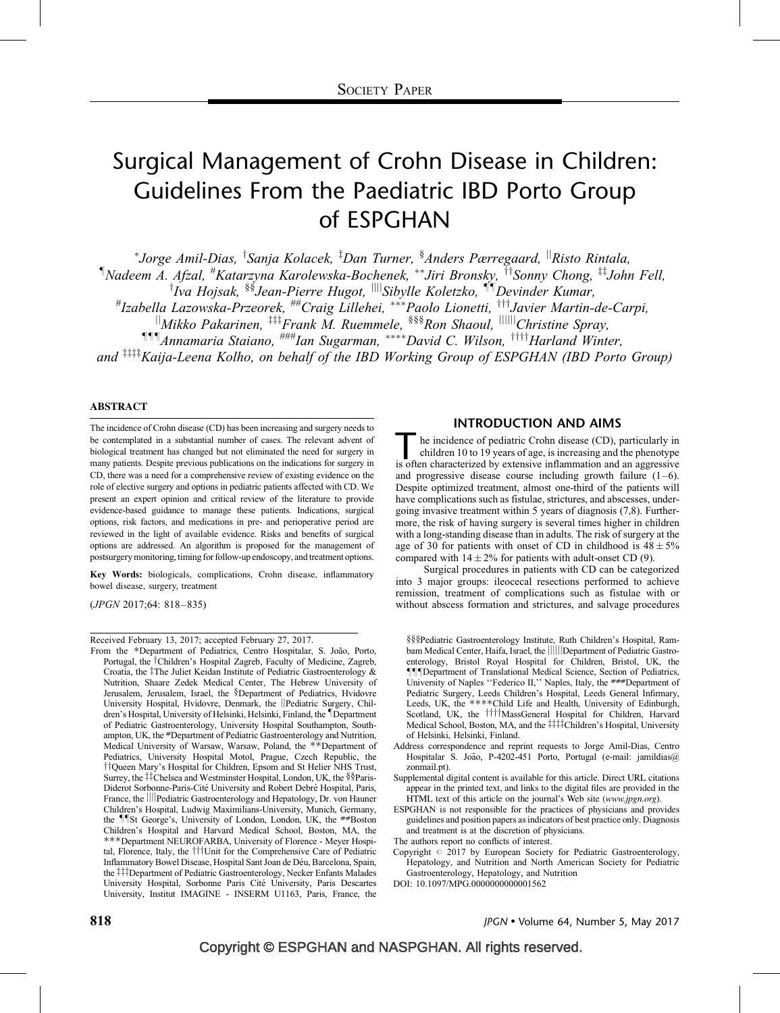# Surgical Management of Crohn Disease in Children: Guidelines From the Paediatric IBD Porto Group of ESPGHAN

\*Jorge Amil-Dias, <sup>†</sup>Sanja Kolacek, <sup>‡</sup>Dan Turner, <sup>§</sup>Anders Pærregaard, <sup>||</sup>Risto Rintala, <sup>¶</sup>Nadeem A. Afzal, <sup>#</sup>Katarzyna Karolewska-Bochenek, \*\*Jiri Bronsky, <sup>††</sup>Sonny Chong, <sup>‡‡</sup>John Fell, <sup>†</sup>Iva Hojsak, <sup>§§</sup>Jean-Pierre Hugot, <sup>||||</sup>Sibylle Koletzko, <sup>¶¶</sup>Devinder Kumar,<br>Hzabella Lazowska-Przeorek, <sup>##</sup>Craig Lillehei, \*\*\*Paolo Lionetti, <sup>†††</sup>Javier Martin-de-Carpi,#  $\frac{1}{2}$ Mikko Pakarinen,  $\frac{1}{2}I$ Frank M. Ruemmele, §§§Ron Shaoul,  $\frac{1}{2}$ IIIII $Ch$ ristine Spray, **TII** Annamaria Staiano, <sup>###</sup>Ian Sugarman, \*\*\*\*David C. Wilson, <sup>††††</sup>Harland Winter,

and  $\frac{1}{2}$ <sup>tttt</sup>Kaija-Leena Kolho, on behalf of the IBD Working Group of ESPGHAN (IBD Porto Group)

### ABSTRACT

The incidence of Crohn disease (CD) has been increasing and surgery needs to be contemplated in a substantial number of cases. The relevant advent of biological treatment has changed but not eliminated the need for surgery in many patients. Despite previous publications on the indications for surgery in CD, there was a need for a comprehensive review of existing evidence on the role of elective surgery and options in pediatric patients affected with CD. We present an expert opinion and critical review of the literature to provide evidence-based guidance to manage these patients. Indications, surgical options, risk factors, and medications in pre- and perioperative period are reviewed in the light of available evidence. Risks and benefits of surgical options are addressed. An algorithm is proposed for the management of postsurgery monitoring, timing for follow-up endoscopy, and treatment options.

Key Words: biologicals, complications, Crohn disease, inflammatory bowel disease, surgery, treatment

(JPGN 2017;64: 818–835)

Received February 13, 2017; accepted February 27, 2017.

From the \*Department of Pediatrics, Centro Hospitalar, S. João, Porto, Portugal, the <sup>†</sup>Children's Hospital Zagreb, Faculty of Medicine, Zagreb, Croatia, the  $\ddagger$ The Juliet Keidan Institute of Pediatric Gastroenterology & Nutrition, Shaare Zedek Medical Center, The Hebrew University of Jerusalem, Jerusalem, Israel, the §Department of Pediatrics, Hvidovre University Hospital, Hvidovre, Denmark, the ||Pediatric Surgery, Children's Hospital, University of Helsinki, Helsinki, Finland, the *Department* of Pediatric Gastroenterology, University Hospital Southampton, Southampton, UK, the #Department of Pediatric Gastroenterology and Nutrition, Medical University of Warsaw, Warsaw, Poland, the \*\*Department of Pediatrics, University Hospital Motol, Prague, Czech Republic, the <sup>†</sup>†Queen Mary's Hospital for Children, Epsom and St Helier NHS Trust, Surrey, the ##Chelsea and Westminster Hospital, London, UK, the §§Paris-Diderot Sorbonne-Paris-Cité University and Robert Debré Hospital, Paris, France, the ||||Pediatric Gastroenterology and Hepatology, Dr. von Hauner Children's Hospital, Ludwig Maximilians-University, Munich, Germany, the *IIst George's*, University of London, London, UK, the ##Boston Children's Hospital and Harvard Medical School, Boston, MA, the ---Department NEUROFARBA, University of Florence - Meyer Hospital, Florence, Italy, the  $\dagger \dagger \dagger$ Unit for the Comprehensive Care of Pediatric Inflammatory Bowel Disease, Hospital Sant Joan de De´u, Barcelona, Spain, the ##Department of Pediatric Gastroenterology, Necker Enfants Malades University Hospital, Sorbonne Paris Cité University, Paris Descartes University, Institut IMAGINE - INSERM U1163, Paris, France, the

## INTRODUCTION AND AIMS

The incidence of pediatric Crohn disease (CD), particularly in children 10 to 19 years of age, is increasing and the phenotype is often characterized by extensive inflammation and an aggressive children 10 to 19 years of age, is increasing and the phenotype and progressive disease course including growth failure  $(1-6)$ . Despite optimized treatment, almost one-third of the patients will have complications such as fistulae, strictures, and abscesses, undergoing invasive treatment within 5 years of diagnosis [\(7,8\)](#page-12-0). Furthermore, the risk of having surgery is several times higher in children with a long-standing disease than in adults. The risk of surgery at the age of 30 for patients with onset of CD in childhood is  $48 \pm 5\%$ compared with  $14 \pm 2\%$  for patients with adult-onset CD [\(9\).](#page-12-0)

Surgical procedures in patients with CD can be categorized into 3 major groups: ileocecal resections performed to achieve remission, treatment of complications such as fistulae with or without abscess formation and strictures, and salvage procedures

§§§Pediatric Gastroenterology Institute, Ruth Children's Hospital, Rambam Medical Center, Haifa, Israel, the ||||||Department of Pediatric Gastroenterology, Bristol Royal Hospital for Children, Bristol, UK, the TTDepartment of Translational Medical Science, Section of Pediatrics, University of Naples "Federico II," Naples, Italy, the  $\# \# \#$ Department of Pediatric Surgery, Leeds Children's Hospital, Leeds General Infirmary, Leeds, UK, the \*\*\*\*Child Life and Health, University of Edinburgh, Scotland, UK, the *WillmassGeneral Hospital for Children*, Harvard Medical School, Boston, MA, and the ###Children's Hospital, University of Helsinki, Helsinki, Finland.

Address correspondence and reprint requests to Jorge Amil-Dias, Centro Hospitalar S. João, P-4202-451 Porto, Portugal (e-mail: jamildias@ zonmail.pt).

Supplemental digital content is available for this article. Direct URL citations appear in the printed text, and links to the digital files are provided in the HTML text of this article on the journal's Web site (www.jpgn.org).

ESPGHAN is not responsible for the practices of physicians and provides guidelines and position papers as indicators of best practice only. Diagnosis and treatment is at the discretion of physicians.

The authors report no conflicts of interest.

Copyright  $@$  2017 by European Society for Pediatric Gastroenterology, Hepatology, and Nutrition and North American Society for Pediatric Gastroenterology, Hepatology, and Nutrition

DOI: [10.1097/MPG.0000000000001562](http://dx.doi.org/10.1097/MPG.0000000000001562)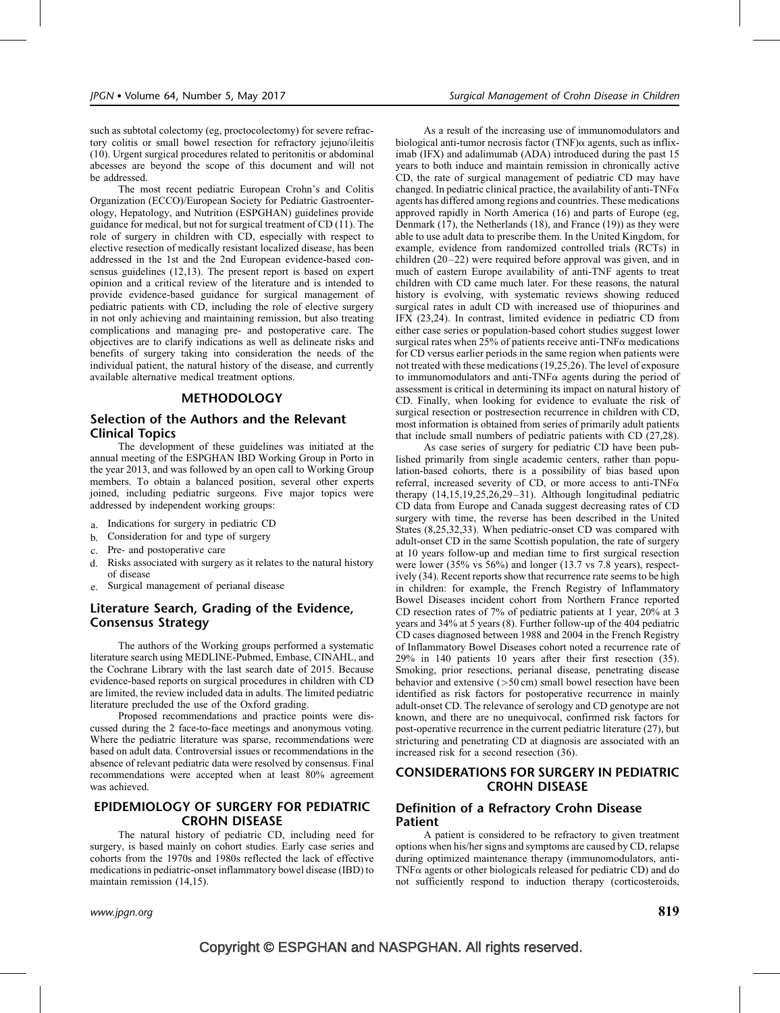such as subtotal colectomy (eg, proctocolectomy) for severe refractory colitis or small bowel resection for refractory jejuno/ileitis [\(10\)](#page-12-0). Urgent surgical procedures related to peritonitis or abdominal abcesses are beyond the scope of this document and will not be addressed.

The most recent pediatric European Crohn's and Colitis Organization (ECCO)/European Society for Pediatric Gastroenterology, Hepatology, and Nutrition (ESPGHAN) guidelines provide guidance for medical, but not for surgical treatment of CD [\(11\)](#page-12-0). The role of surgery in children with CD, especially with respect to elective resection of medically resistant localized disease, has been addressed in the 1st and the 2nd European evidence-based consensus guidelines [\(12,13\)](#page-12-0). The present report is based on expert opinion and a critical review of the literature and is intended to provide evidence-based guidance for surgical management of pediatric patients with CD, including the role of elective surgery in not only achieving and maintaining remission, but also treating complications and managing pre- and postoperative care. The objectives are to clarify indications as well as delineate risks and benefits of surgery taking into consideration the needs of the individual patient, the natural history of the disease, and currently available alternative medical treatment options.

## **METHODOLOGY**

# Selection of the Authors and the Relevant Clinical Topics

The development of these guidelines was initiated at the annual meeting of the ESPGHAN IBD Working Group in Porto in the year 2013, and was followed by an open call to Working Group members. To obtain a balanced position, several other experts joined, including pediatric surgeons. Five major topics were addressed by independent working groups:

- a. Indications for surgery in pediatric CD
- b. Consideration for and type of surgery
- c. Pre- and postoperative care
- d. Risks associated with surgery as it relates to the natural history of disease
- e. Surgical management of perianal disease

# Literature Search, Grading of the Evidence, Consensus Strategy

The authors of the Working groups performed a systematic literature search using MEDLINE-Pubmed, Embase, CINAHL, and the Cochrane Library with the last search date of 2015. Because evidence-based reports on surgical procedures in children with CD are limited, the review included data in adults. The limited pediatric literature precluded the use of the Oxford grading.

Proposed recommendations and practice points were discussed during the 2 face-to-face meetings and anonymous voting. Where the pediatric literature was sparse, recommendations were based on adult data. Controversial issues or recommendations in the absence of relevant pediatric data were resolved by consensus. Final recommendations were accepted when at least 80% agreement was achieved.

# EPIDEMIOLOGY OF SURGERY FOR PEDIATRIC CROHN DISEASE

The natural history of pediatric CD, including need for surgery, is based mainly on cohort studies. Early case series and cohorts from the 1970s and 1980s reflected the lack of effective medications in pediatric-onset inflammatory bowel disease (IBD) to maintain remission [\(14,15\)](#page-12-0).

As a result of the increasing use of immunomodulators and biological anti-tumor necrosis factor (TNF) $\alpha$  agents, such as infliximab (IFX) and adalimumab (ADA) introduced during the past 15 years to both induce and maintain remission in chronically active CD, the rate of surgical management of pediatric CD may have changed. In pediatric clinical practice, the availability of anti-TNF $\alpha$ agents has differed among regions and countries. These medications approved rapidly in North America [\(16\)](#page-12-0) and parts of Europe (eg, Denmark [\(17\),](#page-12-0) the Netherlands [\(18\)](#page-12-0), and France [\(19\)\)](#page-12-0) as they were able to use adult data to prescribe them. In the United Kingdom, for example, evidence from randomized controlled trials (RCTs) in children [\(20–22\)](#page-12-0) were required before approval was given, and in much of eastern Europe availability of anti-TNF agents to treat children with CD came much later. For these reasons, the natural history is evolving, with systematic reviews showing reduced surgical rates in adult CD with increased use of thiopurines and IFX [\(23,24\)](#page-12-0). In contrast, limited evidence in pediatric CD from either case series or population-based cohort studies suggest lower surgical rates when 25% of patients receive anti-TNF $\alpha$  medications for CD versus earlier periods in the same region when patients were not treated with these medications [\(19,25,26\)](#page-12-0). The level of exposure to immunomodulators and anti-TNF $\alpha$  agents during the period of assessment is critical in determining its impact on natural history of CD. Finally, when looking for evidence to evaluate the risk of surgical resection or postresection recurrence in children with CD, most information is obtained from series of primarily adult patients that include small numbers of pediatric patients with CD [\(27,28\).](#page-12-0)

As case series of surgery for pediatric CD have been published primarily from single academic centers, rather than population-based cohorts, there is a possibility of bias based upon referral, increased severity of CD, or more access to anti-TNF $\alpha$ therapy [\(14,15,19,25,26,29–31\)](#page-12-0). Although longitudinal pediatric CD data from Europe and Canada suggest decreasing rates of CD surgery with time, the reverse has been described in the United States [\(8,25,32,33\)](#page-12-0). When pediatric-onset CD was compared with adult-onset CD in the same Scottish population, the rate of surgery at 10 years follow-up and median time to first surgical resection were lower (35% vs 56%) and longer (13.7 vs 7.8 years), respectively [\(34\).](#page-13-0) Recent reports show that recurrence rate seems to be high in children: for example, the French Registry of Inflammatory Bowel Diseases incident cohort from Northern France reported CD resection rates of 7% of pediatric patients at 1 year, 20% at 3 years and 34% at 5 years [\(8\).](#page-12-0) Further follow-up of the 404 pediatric CD cases diagnosed between 1988 and 2004 in the French Registry of Inflammatory Bowel Diseases cohort noted a recurrence rate of 29% in 140 patients 10 years after their first resection [\(35\).](#page-13-0) Smoking, prior resections, perianal disease, penetrating disease behavior and extensive (>50 cm) small bowel resection have been identified as risk factors for postoperative recurrence in mainly adult-onset CD. The relevance of serology and CD genotype are not known, and there are no unequivocal, confirmed risk factors for post-operative recurrence in the current pediatric literature [\(27\)](#page-12-0), but stricturing and penetrating CD at diagnosis are associated with an increased risk for a second resection [\(36\)](#page-13-0).

# CONSIDERATIONS FOR SURGERY IN PEDIATRIC CROHN DISEASE

# Definition of a Refractory Crohn Disease Patient

A patient is considered to be refractory to given treatment options when his/her signs and symptoms are caused by CD, relapse during optimized maintenance therapy (immunomodulators, anti- $TNF\alpha$  agents or other biologicals released for pediatric CD) and do not sufficiently respond to induction therapy (corticosteroids,

www.jpgn.org  $\;$  819  $\;$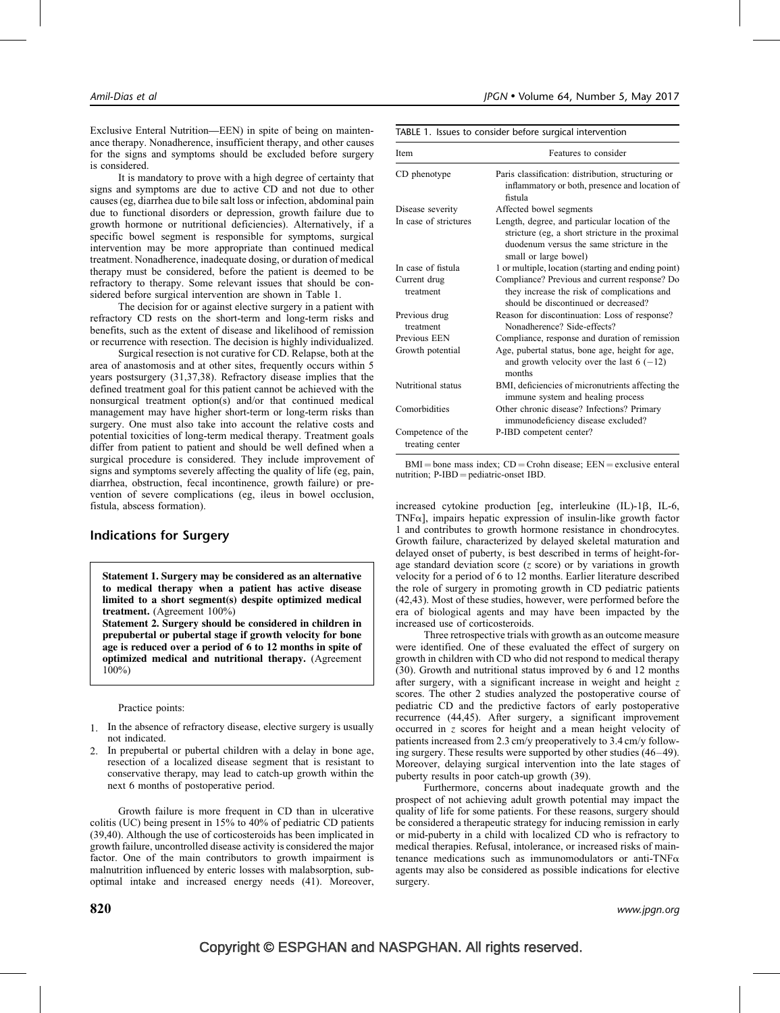Exclusive Enteral Nutrition—EEN) in spite of being on maintenance therapy. Nonadherence, insufficient therapy, and other causes for the signs and symptoms should be excluded before surgery is considered.

It is mandatory to prove with a high degree of certainty that signs and symptoms are due to active CD and not due to other causes (eg, diarrhea due to bile salt loss or infection, abdominal pain due to functional disorders or depression, growth failure due to growth hormone or nutritional deficiencies). Alternatively, if a specific bowel segment is responsible for symptoms, surgical intervention may be more appropriate than continued medical treatment. Nonadherence, inadequate dosing, or duration of medical therapy must be considered, before the patient is deemed to be refractory to therapy. Some relevant issues that should be considered before surgical intervention are shown in Table 1.

The decision for or against elective surgery in a patient with refractory CD rests on the short-term and long-term risks and benefits, such as the extent of disease and likelihood of remission or recurrence with resection. The decision is highly individualized.

Surgical resection is not curative for CD. Relapse, both at the area of anastomosis and at other sites, frequently occurs within 5 years postsurgery [\(31,37,38\).](#page-12-0) Refractory disease implies that the defined treatment goal for this patient cannot be achieved with the nonsurgical treatment option(s) and/or that continued medical management may have higher short-term or long-term risks than surgery. One must also take into account the relative costs and potential toxicities of long-term medical therapy. Treatment goals differ from patient to patient and should be well defined when a surgical procedure is considered. They include improvement of signs and symptoms severely affecting the quality of life (eg, pain, diarrhea, obstruction, fecal incontinence, growth failure) or prevention of severe complications (eg, ileus in bowel occlusion, fistula, abscess formation).

# Indications for Surgery

Statement 1. Surgery may be considered as an alternative to medical therapy when a patient has active disease limited to a short segment(s) despite optimized medical treatment. (Agreement 100%)

Statement 2. Surgery should be considered in children in prepubertal or pubertal stage if growth velocity for bone age is reduced over a period of 6 to 12 months in spite of optimized medical and nutritional therapy. (Agreement 100%)

Practice points:

- 1. In the absence of refractory disease, elective surgery is usually not indicated.
- In prepubertal or pubertal children with a delay in bone age, resection of a localized disease segment that is resistant to conservative therapy, may lead to catch-up growth within the next 6 months of postoperative period.

Growth failure is more frequent in CD than in ulcerative colitis (UC) being present in 15% to 40% of pediatric CD patients [\(39,40\).](#page-13-0) Although the use of corticosteroids has been implicated in growth failure, uncontrolled disease activity is considered the major factor. One of the main contributors to growth impairment is malnutrition influenced by enteric losses with malabsorption, suboptimal intake and increased energy needs [\(41\)](#page-13-0). Moreover,

|  |  | TABLE 1. Issues to consider before surgical intervention |
|--|--|----------------------------------------------------------|
|  |  |                                                          |

| Item                                 | Features to consider                                                                                                                                                     |  |  |
|--------------------------------------|--------------------------------------------------------------------------------------------------------------------------------------------------------------------------|--|--|
| CD phenotype                         | Paris classification: distribution, structuring or<br>inflammatory or both, presence and location of<br>fistula                                                          |  |  |
| Disease severity                     | Affected bowel segments                                                                                                                                                  |  |  |
| In case of strictures                | Length, degree, and particular location of the<br>stricture (eg, a short stricture in the proximal<br>duodenum versus the same stricture in the<br>small or large bowel) |  |  |
| In case of fistula                   | 1 or multiple, location (starting and ending point)                                                                                                                      |  |  |
| Current drug<br>treatment            | Compliance? Previous and current response? Do<br>they increase the risk of complications and<br>should be discontinued or decreased?                                     |  |  |
| Previous drug<br>treatment           | Reason for discontinuation: Loss of response?<br>Nonadherence? Side-effects?                                                                                             |  |  |
| Previous EEN                         | Compliance, response and duration of remission                                                                                                                           |  |  |
| Growth potential                     | Age, pubertal status, bone age, height for age,<br>and growth velocity over the last $6(-12)$<br>months                                                                  |  |  |
| Nutritional status                   | BMI, deficiencies of micronutrients affecting the<br>immune system and healing process                                                                                   |  |  |
| Comorbidities                        | Other chronic disease? Infections? Primary<br>immunodeficiency disease excluded?                                                                                         |  |  |
| Competence of the<br>treating center | P-IBD competent center?                                                                                                                                                  |  |  |

 $BMI = bone$  mass index;  $CD = Crohn$  disease;  $EEN = exclusive$  enteral nutrition;  $P$ -IBD = pediatric-onset IBD.

increased cytokine production [eg, interleukine (IL)-1B, IL-6, TNF $\alpha$ ], impairs hepatic expression of insulin-like growth factor 1 and contributes to growth hormone resistance in chondrocytes. Growth failure, characterized by delayed skeletal maturation and delayed onset of puberty, is best described in terms of height-forage standard deviation score  $(z \text{ score})$  or by variations in growth velocity for a period of 6 to 12 months. Earlier literature described the role of surgery in promoting growth in CD pediatric patients [\(42,43\)](#page-13-0). Most of these studies, however, were performed before the era of biological agents and may have been impacted by the increased use of corticosteroids.

Three retrospective trials with growth as an outcome measure were identified. One of these evaluated the effect of surgery on growth in children with CD who did not respond to medical therapy [\(30\).](#page-12-0) Growth and nutritional status improved by 6 and 12 months after surgery, with a significant increase in weight and height  $z$ scores. The other 2 studies analyzed the postoperative course of pediatric CD and the predictive factors of early postoperative recurrence [\(44,45\)](#page-13-0). After surgery, a significant improvement occurred in z scores for height and a mean height velocity of patients increased from 2.3 cm/y preoperatively to 3.4 cm/y following surgery. These results were supported by other studies [\(46–49\).](#page-13-0) Moreover, delaying surgical intervention into the late stages of puberty results in poor catch-up growth [\(39\).](#page-13-0)

Furthermore, concerns about inadequate growth and the prospect of not achieving adult growth potential may impact the quality of life for some patients. For these reasons, surgery should be considered a therapeutic strategy for inducing remission in early or mid-puberty in a child with localized CD who is refractory to medical therapies. Refusal, intolerance, or increased risks of maintenance medications such as immunomodulators or anti-TNF $\alpha$ agents may also be considered as possible indications for elective surgery.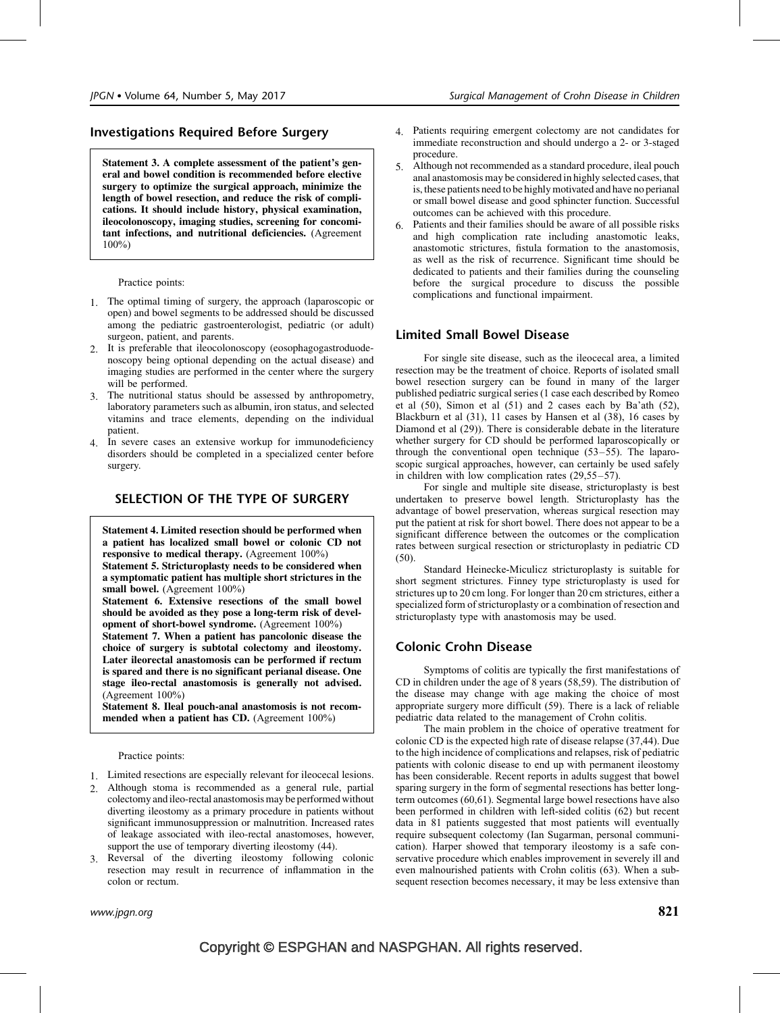# Investigations Required Before Surgery

Statement 3. A complete assessment of the patient's general and bowel condition is recommended before elective surgery to optimize the surgical approach, minimize the length of bowel resection, and reduce the risk of complications. It should include history, physical examination, ileocolonoscopy, imaging studies, screening for concomitant infections, and nutritional deficiencies. (Agreement 100%)

Practice points:

- 1. The optimal timing of surgery, the approach (laparoscopic or open) and bowel segments to be addressed should be discussed among the pediatric gastroenterologist, pediatric (or adult) surgeon, patient, and parents.
- 2. It is preferable that ileocolonoscopy (eosophagogastroduodenoscopy being optional depending on the actual disease) and imaging studies are performed in the center where the surgery will be performed.
- 3. The nutritional status should be assessed by anthropometry, laboratory parameters such as albumin, iron status, and selected vitamins and trace elements, depending on the individual patient.
- 4. In severe cases an extensive workup for immunodeficiency disorders should be completed in a specialized center before surgery.

## SELECTION OF THE TYPE OF SURGERY

Statement 4. Limited resection should be performed when a patient has localized small bowel or colonic CD not responsive to medical therapy. (Agreement 100%) Statement 5. Stricturoplasty needs to be considered when

a symptomatic patient has multiple short strictures in the small bowel. (Agreement 100%)

Statement 6. Extensive resections of the small bowel should be avoided as they pose a long-term risk of development of short-bowel syndrome. (Agreement 100%)

Statement 7. When a patient has pancolonic disease the choice of surgery is subtotal colectomy and ileostomy. Later ileorectal anastomosis can be performed if rectum is spared and there is no significant perianal disease. One stage ileo-rectal anastomosis is generally not advised. (Agreement 100%)

Statement 8. Ileal pouch-anal anastomosis is not recommended when a patient has CD. (Agreement 100%)

Practice points:

- 1. Limited resections are especially relevant for ileocecal lesions.
- 2. Although stoma is recommended as a general rule, partial colectomy andileo-rectal anastomosis may be performed without diverting ileostomy as a primary procedure in patients without significant immunosuppression or malnutrition. Increased rates of leakage associated with ileo-rectal anastomoses, however, support the use of temporary diverting ileostomy  $(44)$ .
- 3. Reversal of the diverting ileostomy following colonic resection may result in recurrence of inflammation in the colon or rectum.
- 4. Patients requiring emergent colectomy are not candidates for immediate reconstruction and should undergo a 2- or 3-staged procedure.
- 5. Although not recommended as a standard procedure, ileal pouch anal anastomosis may be considered in highly selected cases, that is, these patients need to be highly motivated and have no perianal or small bowel disease and good sphincter function. Successful outcomes can be achieved with this procedure.
- 6. Patients and their families should be aware of all possible risks and high complication rate including anastomotic leaks, anastomotic strictures, fistula formation to the anastomosis, as well as the risk of recurrence. Significant time should be dedicated to patients and their families during the counseling before the surgical procedure to discuss the possible complications and functional impairment.

## Limited Small Bowel Disease

For single site disease, such as the ileocecal area, a limited resection may be the treatment of choice. Reports of isolated small bowel resection surgery can be found in many of the larger published pediatric surgical series (1 case each described by Romeo et al  $(50)$ , Simon et al  $(51)$  and 2 cases each by Ba'ath  $(52)$ , Blackburn et al [\(31\)](#page-12-0), 11 cases by Hansen et al [\(38\),](#page-13-0) 16 cases by Diamond et al [\(29\)\)](#page-12-0). There is considerable debate in the literature whether surgery for CD should be performed laparoscopically or through the conventional open technique [\(53–55\)](#page-13-0). The laparoscopic surgical approaches, however, can certainly be used safely in children with low complication rates [\(29,55–57\).](#page-12-0)

For single and multiple site disease, stricturoplasty is best undertaken to preserve bowel length. Stricturoplasty has the advantage of bowel preservation, whereas surgical resection may put the patient at risk for short bowel. There does not appear to be a significant difference between the outcomes or the complication rates between surgical resection or stricturoplasty in pediatric CD [\(50\).](#page-13-0)

Standard Heinecke-Miculicz stricturoplasty is suitable for short segment strictures. Finney type stricturoplasty is used for strictures up to 20 cm long. For longer than 20 cm strictures, either a specialized form of stricturoplasty or a combination of resection and stricturoplasty type with anastomosis may be used.

## Colonic Crohn Disease

Symptoms of colitis are typically the first manifestations of CD in children under the age of 8 years [\(58,59\)](#page-13-0). The distribution of the disease may change with age making the choice of most appropriate surgery more difficult [\(59\)](#page-13-0). There is a lack of reliable pediatric data related to the management of Crohn colitis.

The main problem in the choice of operative treatment for colonic CD is the expected high rate of disease relapse [\(37,44\).](#page-13-0) Due to the high incidence of complications and relapses, risk of pediatric patients with colonic disease to end up with permanent ileostomy has been considerable. Recent reports in adults suggest that bowel sparing surgery in the form of segmental resections has better longterm outcomes [\(60,61\)](#page-13-0). Segmental large bowel resections have also been performed in children with left-sided colitis [\(62\)](#page-13-0) but recent data in 81 patients suggested that most patients will eventually require subsequent colectomy (Ian Sugarman, personal communication). Harper showed that temporary ileostomy is a safe conservative procedure which enables improvement in severely ill and even malnourished patients with Crohn colitis [\(63\)](#page-13-0). When a subsequent resection becomes necessary, it may be less extensive than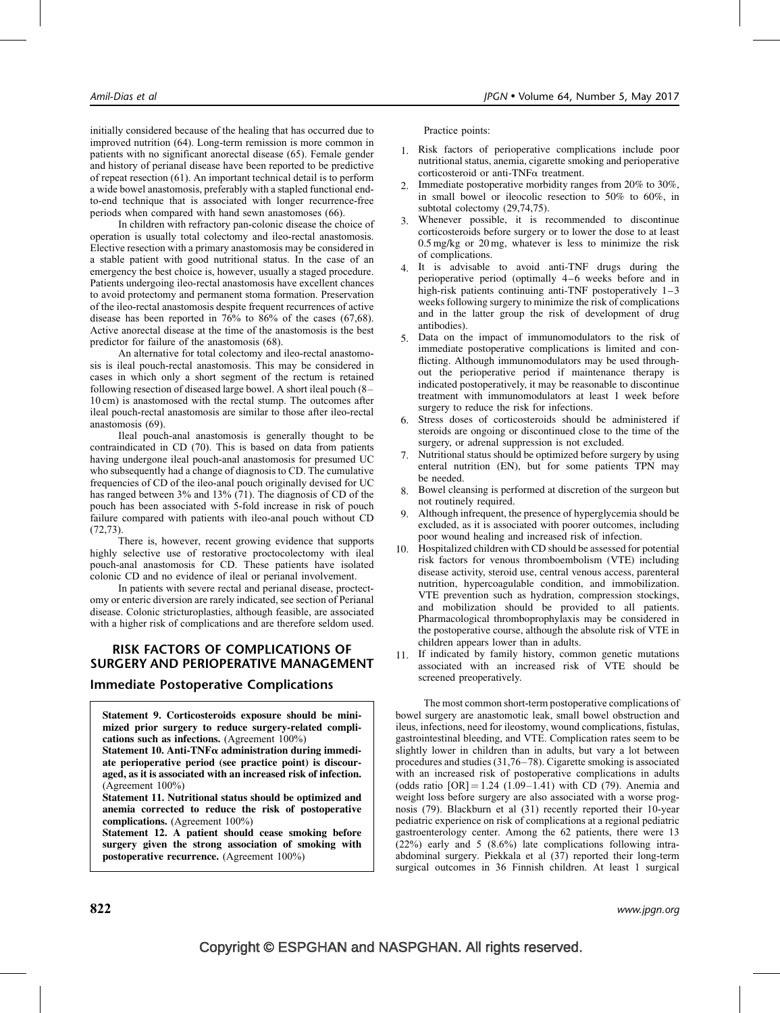initially considered because of the healing that has occurred due to improved nutrition [\(64\)](#page-13-0). Long-term remission is more common in patients with no significant anorectal disease [\(65\).](#page-13-0) Female gender and history of perianal disease have been reported to be predictive of repeat resection [\(61\).](#page-13-0) An important technical detail is to perform a wide bowel anastomosis, preferably with a stapled functional endto-end technique that is associated with longer recurrence-free periods when compared with hand sewn anastomoses [\(66\).](#page-13-0)

In children with refractory pan-colonic disease the choice of operation is usually total colectomy and ileo-rectal anastomosis. Elective resection with a primary anastomosis may be considered in a stable patient with good nutritional status. In the case of an emergency the best choice is, however, usually a staged procedure. Patients undergoing ileo-rectal anastomosis have excellent chances to avoid protectomy and permanent stoma formation. Preservation of the ileo-rectal anastomosis despite frequent recurrences of active disease has been reported in 76% to 86% of the cases [\(67,68\)](#page-13-0). Active anorectal disease at the time of the anastomosis is the best predictor for failure of the anastomosis [\(68\)](#page-13-0).

An alternative for total colectomy and ileo-rectal anastomosis is ileal pouch-rectal anastomosis. This may be considered in cases in which only a short segment of the rectum is retained following resection of diseased large bowel. A short ileal pouch (8– 10 cm) is anastomosed with the rectal stump. The outcomes after ileal pouch-rectal anastomosis are similar to those after ileo-rectal anastomosis [\(69\)](#page-13-0).

Ileal pouch-anal anastomosis is generally thought to be contraindicated in CD [\(70\).](#page-13-0) This is based on data from patients having undergone ileal pouch-anal anastomosis for presumed UC who subsequently had a change of diagnosis to CD. The cumulative frequencies of CD of the ileo-anal pouch originally devised for UC has ranged between 3% and 13% [\(71\)](#page-13-0). The diagnosis of CD of the pouch has been associated with 5-fold increase in risk of pouch failure compared with patients with ileo-anal pouch without CD [\(72,73\).](#page-13-0)

There is, however, recent growing evidence that supports highly selective use of restorative proctocolectomy with ileal pouch-anal anastomosis for CD. These patients have isolated colonic CD and no evidence of ileal or perianal involvement.

In patients with severe rectal and perianal disease, proctectomy or enteric diversion are rarely indicated, see section of Perianal disease. Colonic stricturoplasties, although feasible, are associated with a higher risk of complications and are therefore seldom used.

## RISK FACTORS OF COMPLICATIONS OF SURGERY AND PERIOPERATIVE MANAGEMENT

### Immediate Postoperative Complications

Statement 9. Corticosteroids exposure should be minimized prior surgery to reduce surgery-related complications such as infections. (Agreement 100%)

Statement 10. Anti-TNF $\alpha$  administration during immediate perioperative period (see practice point) is discouraged, as it is associated with an increased risk of infection. (Agreement 100%)

Statement 11. Nutritional status should be optimized and anemia corrected to reduce the risk of postoperative complications. (Agreement 100%)

Statement 12. A patient should cease smoking before surgery given the strong association of smoking with postoperative recurrence. (Agreement 100%)

Practice points:

- 1. Risk factors of perioperative complications include poor nutritional status, anemia, cigarette smoking and perioperative corticosteroid or anti-TNFa treatment.
- 2. Immediate postoperative morbidity ranges from 20% to 30%, in small bowel or ileocolic resection to 50% to 60%, in subtotal colectomy [\(29,74,75\)](#page-12-0).
- 3. Whenever possible, it is recommended to discontinue corticosteroids before surgery or to lower the dose to at least 0.5 mg/kg or 20 mg, whatever is less to minimize the risk of complications.
- 4. It is advisable to avoid anti-TNF drugs during the perioperative period (optimally 4–6 weeks before and in high-risk patients continuing anti-TNF postoperatively  $1-3$ weeks following surgery to minimize the risk of complications and in the latter group the risk of development of drug antibodies).
- 5. Data on the impact of immunomodulators to the risk of immediate postoperative complications is limited and conflicting. Although immunomodulators may be used throughout the perioperative period if maintenance therapy is indicated postoperatively, it may be reasonable to discontinue treatment with immunomodulators at least 1 week before surgery to reduce the risk for infections.
- 6. Stress doses of corticosteroids should be administered if steroids are ongoing or discontinued close to the time of the surgery, or adrenal suppression is not excluded.
- 7. Nutritional status should be optimized before surgery by using enteral nutrition (EN), but for some patients TPN may be needed.
- 8. Bowel cleansing is performed at discretion of the surgeon but not routinely required.
- 9. Although infrequent, the presence of hyperglycemia should be excluded, as it is associated with poorer outcomes, including poor wound healing and increased risk of infection.
- 10. Hospitalized children with CD should be assessed for potential risk factors for venous thromboembolism (VTE) including disease activity, steroid use, central venous access, parenteral nutrition, hypercoagulable condition, and immobilization. VTE prevention such as hydration, compression stockings, and mobilization should be provided to all patients. Pharmacological thromboprophylaxis may be considered in the postoperative course, although the absolute risk of VTE in children appears lower than in adults.
- 11. If indicated by family history, common genetic mutations associated with an increased risk of VTE should be screened preoperatively.

The most common short-term postoperative complications of bowel surgery are anastomotic leak, small bowel obstruction and ileus, infections, need for ileostomy, wound complications, fistulas, gastrointestinal bleeding, and VTE. Complication rates seem to be slightly lower in children than in adults, but vary a lot between procedures and studies [\(31,76–78\)](#page-12-0). Cigarette smoking is associated with an increased risk of postoperative complications in adults (odds ratio  $[OR] = 1.24$  (1.09–1.41) with CD [\(79\).](#page-13-0) Anemia and weight loss before surgery are also associated with a worse prognosis [\(79\)](#page-13-0). Blackburn et al [\(31\)](#page-12-0) recently reported their 10-year pediatric experience on risk of complications at a regional pediatric gastroenterology center. Among the 62 patients, there were 13 (22%) early and 5 (8.6%) late complications following intraabdominal surgery. Piekkala et al [\(37\)](#page-13-0) reported their long-term surgical outcomes in 36 Finnish children. At least 1 surgical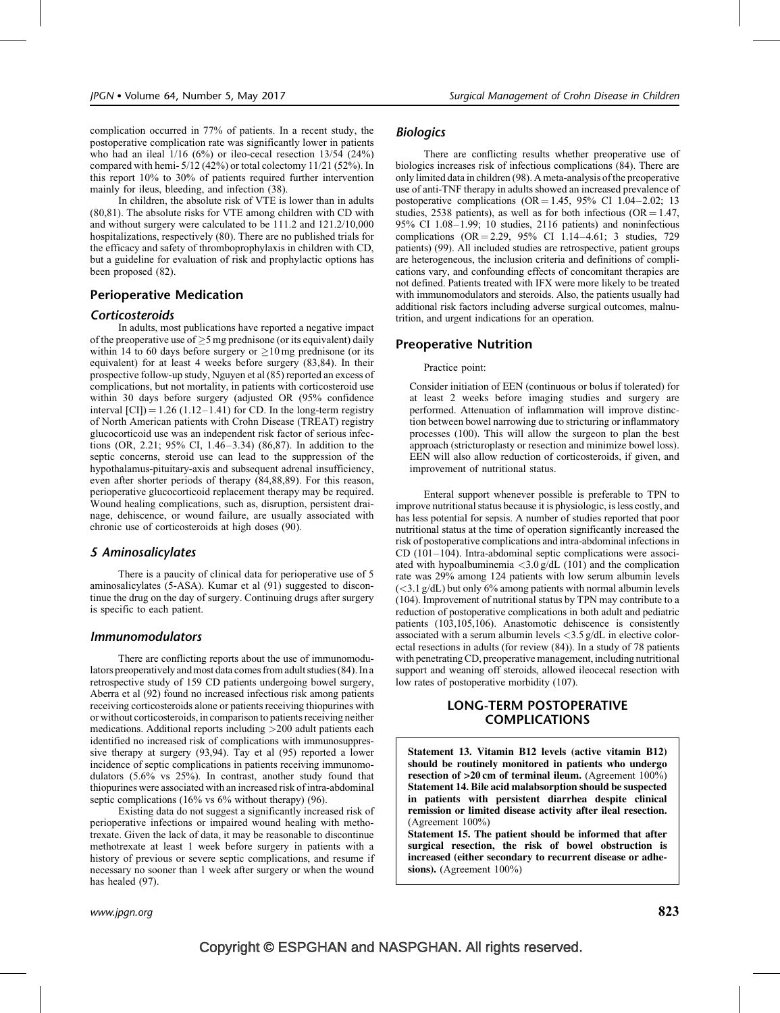complication occurred in 77% of patients. In a recent study, the postoperative complication rate was significantly lower in patients who had an ileal 1/16 (6%) or ileo-cecal resection 13/54 (24%) compared with hemi- 5/12 (42%) or total colectomy 11/21 (52%). In this report 10% to 30% of patients required further intervention mainly for ileus, bleeding, and infection [\(38\)](#page-13-0).

In children, the absolute risk of VTE is lower than in adults [\(80,81\).](#page-13-0) The absolute risks for VTE among children with CD with and without surgery were calculated to be 111.2 and 121.2/10,000 hospitalizations, respectively [\(80\).](#page-13-0) There are no published trials for the efficacy and safety of thromboprophylaxis in children with CD, but a guideline for evaluation of risk and prophylactic options has been proposed [\(82\)](#page-14-0).

#### Perioperative Medication

#### Corticosteroids

In adults, most publications have reported a negative impact of the preoperative use of  $\geq$ 5 mg prednisone (or its equivalent) daily within 14 to 60 days before surgery or  $\geq 10$  mg prednisone (or its equivalent) for at least 4 weeks before surgery [\(83,84\).](#page-14-0) In their prospective follow-up study, Nguyen et al [\(85\)](#page-14-0) reported an excess of complications, but not mortality, in patients with corticosteroid use within 30 days before surgery (adjusted OR (95% confidence interval  $\text{[CI]}$ ) = 1.26 (1.12–1.41) for CD. In the long-term registry of North American patients with Crohn Disease (TREAT) registry glucocorticoid use was an independent risk factor of serious infections (OR, 2.21; 95% CI, 1.46–3.34) [\(86,87\).](#page-14-0) In addition to the septic concerns, steroid use can lead to the suppression of the hypothalamus-pituitary-axis and subsequent adrenal insufficiency, even after shorter periods of therapy [\(84,88,89\).](#page-14-0) For this reason, perioperative glucocorticoid replacement therapy may be required. Wound healing complications, such as, disruption, persistent drainage, dehiscence, or wound failure, are usually associated with chronic use of corticosteroids at high doses [\(90\)](#page-14-0).

#### 5 Aminosalicylates

There is a paucity of clinical data for perioperative use of 5 aminosalicylates (5-ASA). Kumar et al [\(91\)](#page-14-0) suggested to discontinue the drug on the day of surgery. Continuing drugs after surgery is specific to each patient.

#### Immunomodulators

There are conflicting reports about the use of immunomodulators preoperatively and most data comes from adult studies [\(84\)](#page-14-0). In a retrospective study of 159 CD patients undergoing bowel surgery, Aberra et al [\(92\)](#page-14-0) found no increased infectious risk among patients receiving corticosteroids alone or patients receiving thiopurines with or without corticosteroids, in comparison to patients receiving neither medications. Additional reports including >200 adult patients each identified no increased risk of complications with immunosuppressive therapy at surgery [\(93,94\)](#page-14-0). Tay et al [\(95\)](#page-14-0) reported a lower incidence of septic complications in patients receiving immunomodulators (5.6% vs 25%). In contrast, another study found that thiopurines were associated with an increased risk of intra-abdominal septic complications (16% vs 6% without therapy) [\(96\).](#page-14-0)

Existing data do not suggest a significantly increased risk of perioperative infections or impaired wound healing with methotrexate. Given the lack of data, it may be reasonable to discontinue methotrexate at least 1 week before surgery in patients with a history of previous or severe septic complications, and resume if necessary no sooner than 1 week after surgery or when the wound has healed [\(97\).](#page-14-0)

There are conflicting results whether preoperative use of biologics increases risk of infectious complications [\(84\)](#page-14-0). There are only limited data in children [\(98\).](#page-14-0) A meta-analysis of the preoperative use of anti-TNF therapy in adults showed an increased prevalence of postoperative complications ( $OR = 1.45$ , 95% CI 1.04–2.02; 13 studies, 2538 patients), as well as for both infectious ( $OR = 1.47$ , 95% CI 1.08–1.99; 10 studies, 2116 patients) and noninfectious complications  $(OR = 2.29, 95\% \text{ CI } 1.14-4.61; 3 \text{ studies}, 729)$ patients) [\(99\).](#page-14-0) All included studies are retrospective, patient groups are heterogeneous, the inclusion criteria and definitions of complications vary, and confounding effects of concomitant therapies are not defined. Patients treated with IFX were more likely to be treated with immunomodulators and steroids. Also, the patients usually had additional risk factors including adverse surgical outcomes, malnutrition, and urgent indications for an operation.

#### Preoperative Nutrition

#### Practice point:

Consider initiation of EEN (continuous or bolus if tolerated) for at least 2 weeks before imaging studies and surgery are performed. Attenuation of inflammation will improve distinction between bowel narrowing due to stricturing or inflammatory processes [\(100\)](#page-14-0). This will allow the surgeon to plan the best approach (stricturoplasty or resection and minimize bowel loss). EEN will also allow reduction of corticosteroids, if given, and improvement of nutritional status.

Enteral support whenever possible is preferable to TPN to improve nutritional status because it is physiologic, is less costly, and has less potential for sepsis. A number of studies reported that poor nutritional status at the time of operation significantly increased the risk of postoperative complications and intra-abdominal infections in CD [\(101–104\).](#page-14-0) Intra-abdominal septic complications were associated with hypoalbuminemia  $\langle 3.0 \text{ g/d}L (101)$  $\langle 3.0 \text{ g/d}L (101)$  and the complication rate was 29% among 124 patients with low serum albumin levels  $\left( \langle 3.1 \text{ g/d} L \rangle \right)$  but only 6% among patients with normal albumin levels [\(104\).](#page-14-0) Improvement of nutritional status by TPN may contribute to a reduction of postoperative complications in both adult and pediatric patients [\(103,105,106\)](#page-14-0). Anastomotic dehiscence is consistently associated with a serum albumin levels <3.5 g/dL in elective colorectal resections in adults (for review [\(84\)\)](#page-14-0). In a study of 78 patients with penetrating CD, preoperative management, including nutritional support and weaning off steroids, allowed ileocecal resection with low rates of postoperative morbidity [\(107\)](#page-14-0).

## LONG-TERM POSTOPERATIVE COMPLICATIONS

Statement 13. Vitamin B12 levels (active vitamin B12) should be routinely monitored in patients who undergo resection of >20 cm of terminal ileum. (Agreement 100%) Statement 14. Bile acid malabsorption should be suspected in patients with persistent diarrhea despite clinical remission or limited disease activity after ileal resection. (Agreement 100%)

Statement 15. The patient should be informed that after surgical resection, the risk of bowel obstruction is increased (either secondary to recurrent disease or adhesions). (Agreement 100%)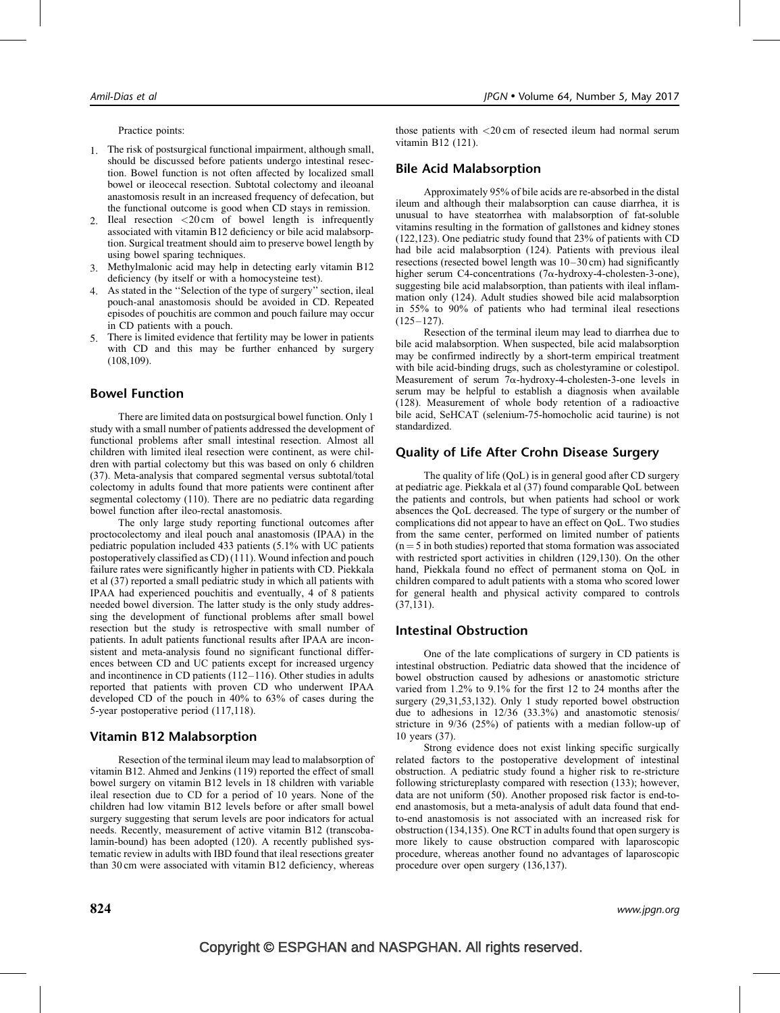Practice points:

- 1. The risk of postsurgical functional impairment, although small, should be discussed before patients undergo intestinal resection. Bowel function is not often affected by localized small bowel or ileocecal resection. Subtotal colectomy and ileoanal anastomosis result in an increased frequency of defecation, but the functional outcome is good when CD stays in remission.
- 2. Ileal resection <20 cm of bowel length is infrequently associated with vitamin B12 deficiency or bile acid malabsorption. Surgical treatment should aim to preserve bowel length by using bowel sparing techniques.
- 3. Methylmalonic acid may help in detecting early vitamin B12 deficiency (by itself or with a homocysteine test).
- 4. As stated in the ''Selection of the type of surgery'' section, ileal pouch-anal anastomosis should be avoided in CD. Repeated episodes of pouchitis are common and pouch failure may occur in CD patients with a pouch.
- 5. There is limited evidence that fertility may be lower in patients with CD and this may be further enhanced by surgery [\(108,109\)](#page-14-0).

## Bowel Function

There are limited data on postsurgical bowel function. Only 1 study with a small number of patients addressed the development of functional problems after small intestinal resection. Almost all children with limited ileal resection were continent, as were children with partial colectomy but this was based on only 6 children [\(37\)](#page-13-0). Meta-analysis that compared segmental versus subtotal/total colectomy in adults found that more patients were continent after segmental colectomy [\(110\).](#page-14-0) There are no pediatric data regarding bowel function after ileo-rectal anastomosis.

The only large study reporting functional outcomes after proctocolectomy and ileal pouch anal anastomosis (IPAA) in the pediatric population included 433 patients (5.1% with UC patients postoperatively classified as CD) [\(111\)](#page-14-0). Wound infection and pouch failure rates were significantly higher in patients with CD. Piekkala et al [\(37\)](#page-13-0) reported a small pediatric study in which all patients with IPAA had experienced pouchitis and eventually, 4 of 8 patients needed bowel diversion. The latter study is the only study addressing the development of functional problems after small bowel resection but the study is retrospective with small number of patients. In adult patients functional results after IPAA are inconsistent and meta-analysis found no significant functional differences between CD and UC patients except for increased urgency and incontinence in CD patients [\(112–116\).](#page-14-0) Other studies in adults reported that patients with proven CD who underwent IPAA developed CD of the pouch in 40% to 63% of cases during the 5-year postoperative period [\(117,118\).](#page-14-0)

#### Vitamin B12 Malabsorption

Resection of the terminal ileum may lead to malabsorption of vitamin B12. Ahmed and Jenkins [\(119\)](#page-14-0) reported the effect of small bowel surgery on vitamin B12 levels in 18 children with variable ileal resection due to CD for a period of 10 years. None of the children had low vitamin B12 levels before or after small bowel surgery suggesting that serum levels are poor indicators for actual needs. Recently, measurement of active vitamin B12 (transcobalamin-bound) has been adopted [\(120\)](#page-14-0). A recently published systematic review in adults with IBD found that ileal resections greater than 30 cm were associated with vitamin B12 deficiency, whereas

those patients with <20 cm of resected ileum had normal serum vitamin B12 [\(121\).](#page-14-0)

## Bile Acid Malabsorption

Approximately 95% of bile acids are re-absorbed in the distal ileum and although their malabsorption can cause diarrhea, it is unusual to have steatorrhea with malabsorption of fat-soluble vitamins resulting in the formation of gallstones and kidney stones [\(122,123\)](#page-14-0). One pediatric study found that 23% of patients with CD had bile acid malabsorption [\(124\).](#page-14-0) Patients with previous ileal resections (resected bowel length was 10–30 cm) had significantly higher serum C4-concentrations  $(7\alpha$ -hydroxy-4-cholesten-3-one), suggesting bile acid malabsorption, than patients with ileal inflammation only [\(124\).](#page-14-0) Adult studies showed bile acid malabsorption in 55% to 90% of patients who had terminal ileal resections  $(125-127)$ .

Resection of the terminal ileum may lead to diarrhea due to bile acid malabsorption. When suspected, bile acid malabsorption may be confirmed indirectly by a short-term empirical treatment with bile acid-binding drugs, such as cholestyramine or colestipol. Measurement of serum  $7\alpha$ -hydroxy-4-cholesten-3-one levels in serum may be helpful to establish a diagnosis when available [\(128\)](#page-15-0). Measurement of whole body retention of a radioactive bile acid, SeHCAT (selenium-75-homocholic acid taurine) is not standardized.

## Quality of Life After Crohn Disease Surgery

The quality of life (QoL) is in general good after CD surgery at pediatric age. Piekkala et al [\(37\)](#page-13-0) found comparable QoL between the patients and controls, but when patients had school or work absences the QoL decreased. The type of surgery or the number of complications did not appear to have an effect on QoL. Two studies from the same center, performed on limited number of patients  $(n = 5$  in both studies) reported that stoma formation was associated with restricted sport activities in children [\(129,130\)](#page-15-0). On the other hand, Piekkala found no effect of permanent stoma on QoL in children compared to adult patients with a stoma who scored lower for general health and physical activity compared to controls [\(37,131\).](#page-13-0)

#### Intestinal Obstruction

One of the late complications of surgery in CD patients is intestinal obstruction. Pediatric data showed that the incidence of bowel obstruction caused by adhesions or anastomotic stricture varied from 1.2% to 9.1% for the first 12 to 24 months after the surgery [\(29,31,53,132\)](#page-12-0). Only 1 study reported bowel obstruction due to adhesions in 12/36 (33.3%) and anastomotic stenosis/ stricture in 9/36 (25%) of patients with a median follow-up of 10 years [\(37\).](#page-13-0)

Strong evidence does not exist linking specific surgically related factors to the postoperative development of intestinal obstruction. A pediatric study found a higher risk to re-stricture following strictureplasty compared with resection [\(133\);](#page-15-0) however, data are not uniform [\(50\).](#page-13-0) Another proposed risk factor is end-toend anastomosis, but a meta-analysis of adult data found that endto-end anastomosis is not associated with an increased risk for obstruction [\(134,135\)](#page-15-0). One RCT in adults found that open surgery is more likely to cause obstruction compared with laparoscopic procedure, whereas another found no advantages of laparoscopic procedure over open surgery [\(136,137\)](#page-15-0).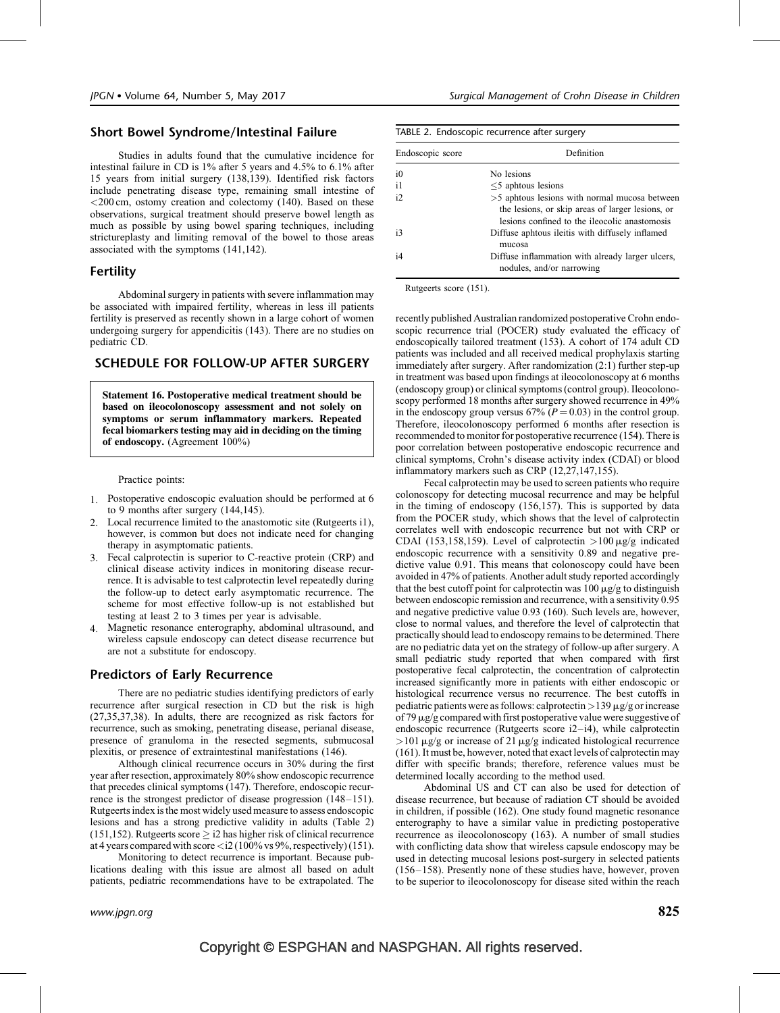# Short Bowel Syndrome/Intestinal Failure

Studies in adults found that the cumulative incidence for intestinal failure in CD is 1% after 5 years and 4.5% to 6.1% after 15 years from initial surgery [\(138,139\)](#page-15-0). Identified risk factors include penetrating disease type, remaining small intestine of <200 cm, ostomy creation and colectomy [\(140\)](#page-15-0). Based on these observations, surgical treatment should preserve bowel length as much as possible by using bowel sparing techniques, including strictureplasty and limiting removal of the bowel to those areas associated with the symptoms [\(141,142\)](#page-15-0).

## Fertility

Abdominal surgery in patients with severe inflammation may be associated with impaired fertility, whereas in less ill patients fertility is preserved as recently shown in a large cohort of women undergoing surgery for appendicitis [\(143\).](#page-15-0) There are no studies on pediatric CD.

## SCHEDULE FOR FOLLOW-UP AFTER SURGERY

Statement 16. Postoperative medical treatment should be based on ileocolonoscopy assessment and not solely on symptoms or serum inflammatory markers. Repeated fecal biomarkers testing may aid in deciding on the timing of endoscopy. (Agreement 100%)

Practice points:

- 1. Postoperative endoscopic evaluation should be performed at 6 to 9 months after surgery [\(144,145\).](#page-15-0)
- 2. Local recurrence limited to the anastomotic site (Rutgeerts i1), however, is common but does not indicate need for changing therapy in asymptomatic patients.
- 3. Fecal calprotectin is superior to C-reactive protein (CRP) and clinical disease activity indices in monitoring disease recurrence. It is advisable to test calprotectin level repeatedly during the follow-up to detect early asymptomatic recurrence. The scheme for most effective follow-up is not established but testing at least 2 to 3 times per year is advisable.
- Magnetic resonance enterography, abdominal ultrasound, and wireless capsule endoscopy can detect disease recurrence but are not a substitute for endoscopy.

## Predictors of Early Recurrence

There are no pediatric studies identifying predictors of early recurrence after surgical resection in CD but the risk is high [\(27,35,37,38\)](#page-12-0). In adults, there are recognized as risk factors for recurrence, such as smoking, penetrating disease, perianal disease, presence of granuloma in the resected segments, submucosal plexitis, or presence of extraintestinal manifestations [\(146\).](#page-15-0)

Although clinical recurrence occurs in 30% during the first year after resection, approximately 80% show endoscopic recurrence that precedes clinical symptoms [\(147\).](#page-15-0) Therefore, endoscopic recurrence is the strongest predictor of disease progression [\(148–151\)](#page-15-0). Rutgeerts index is the most widely used measure to assess endoscopic lesions and has a strong predictive validity in adults (Table 2)  $(151, 152)$ . Rutgeerts score  $\geq$  i2 has higher risk of clinical recurrence at 4 years compared with score  $\langle 2(100\% \text{ vs } 9\%, \text{respectively})(151)$ .

Monitoring to detect recurrence is important. Because publications dealing with this issue are almost all based on adult patients, pediatric recommendations have to be extrapolated. The

| TABLE 2. Endoscopic recurrence after surgery |                                                                                                                                                    |  |  |
|----------------------------------------------|----------------------------------------------------------------------------------------------------------------------------------------------------|--|--|
| Endoscopic score                             | Definition                                                                                                                                         |  |  |
| i <sub>0</sub>                               | No lesions                                                                                                                                         |  |  |
| $\mathbf{i}$                                 | $\leq$ 5 aphrous lesions                                                                                                                           |  |  |
| i2                                           | >5 aphrous lesions with normal mucosa between<br>the lesions, or skip areas of larger lesions, or<br>lesions confined to the ileocolic anastomosis |  |  |
| i3                                           | Diffuse aphrous ileitis with diffusely inflamed<br>mucosa                                                                                          |  |  |
| i4                                           | Diffuse inflammation with already larger ulcers,<br>nodules, and/or narrowing                                                                      |  |  |

Rutgeerts score [\(151\).](#page-15-0)

recently published Australian randomized postoperative Crohn endoscopic recurrence trial (POCER) study evaluated the efficacy of endoscopically tailored treatment [\(153\).](#page-15-0) A cohort of 174 adult CD patients was included and all received medical prophylaxis starting immediately after surgery. After randomization (2:1) further step-up in treatment was based upon findings at ileocolonoscopy at 6 months (endoscopy group) or clinical symptoms (control group). Ileocolonoscopy performed 18 months after surgery showed recurrence in 49% in the endoscopy group versus  $67\%$  ( $P = 0.03$ ) in the control group. Therefore, ileocolonoscopy performed 6 months after resection is recommended to monitor for postoperative recurrence [\(154\).](#page-15-0) There is poor correlation between postoperative endoscopic recurrence and clinical symptoms, Crohn's disease activity index (CDAI) or blood inflammatory markers such as CRP [\(12,27,147,155\)](#page-12-0).

Fecal calprotectin may be used to screen patients who require colonoscopy for detecting mucosal recurrence and may be helpful in the timing of endoscopy [\(156,157\).](#page-15-0) This is supported by data from the POCER study, which shows that the level of calprotectin correlates well with endoscopic recurrence but not with CRP or CDAI [\(153,158,159\)](#page-15-0). Level of calprotectin  $>100 \mu g/g$  indicated endoscopic recurrence with a sensitivity 0.89 and negative predictive value 0.91. This means that colonoscopy could have been avoided in 47% of patients. Another adult study reported accordingly that the best cutoff point for calprotectin was  $100 \mu g/g$  to distinguish between endoscopic remission and recurrence, with a sensitivity 0.95 and negative predictive value 0.93 [\(160\).](#page-15-0) Such levels are, however, close to normal values, and therefore the level of calprotectin that practically should lead to endoscopy remains to be determined. There are no pediatric data yet on the strategy of follow-up after surgery. A small pediatric study reported that when compared with first postoperative fecal calprotectin, the concentration of calprotectin increased significantly more in patients with either endoscopic or histological recurrence versus no recurrence. The best cutoffs in pediatric patients were as follows: calprotectin  $>139 \mu g/g$  or increase of 79  $\mu$ g/g compared with first postoperative value were suggestive of endoscopic recurrence (Rutgeerts score i2–i4), while calprotectin  $>101 \mu$ g/g or increase of 21  $\mu$ g/g indicated histological recurrence [\(161\).](#page-15-0) It must be, however, noted that exact levels of calprotectin may differ with specific brands; therefore, reference values must be determined locally according to the method used.

Abdominal US and CT can also be used for detection of disease recurrence, but because of radiation CT should be avoided in children, if possible [\(162\)](#page-15-0). One study found magnetic resonance enterography to have a similar value in predicting postoperative recurrence as ileocolonoscopy [\(163\).](#page-15-0) A number of small studies with conflicting data show that wireless capsule endoscopy may be used in detecting mucosal lesions post-surgery in selected patients [\(156–158\).](#page-15-0) Presently none of these studies have, however, proven to be superior to ileocolonoscopy for disease sited within the reach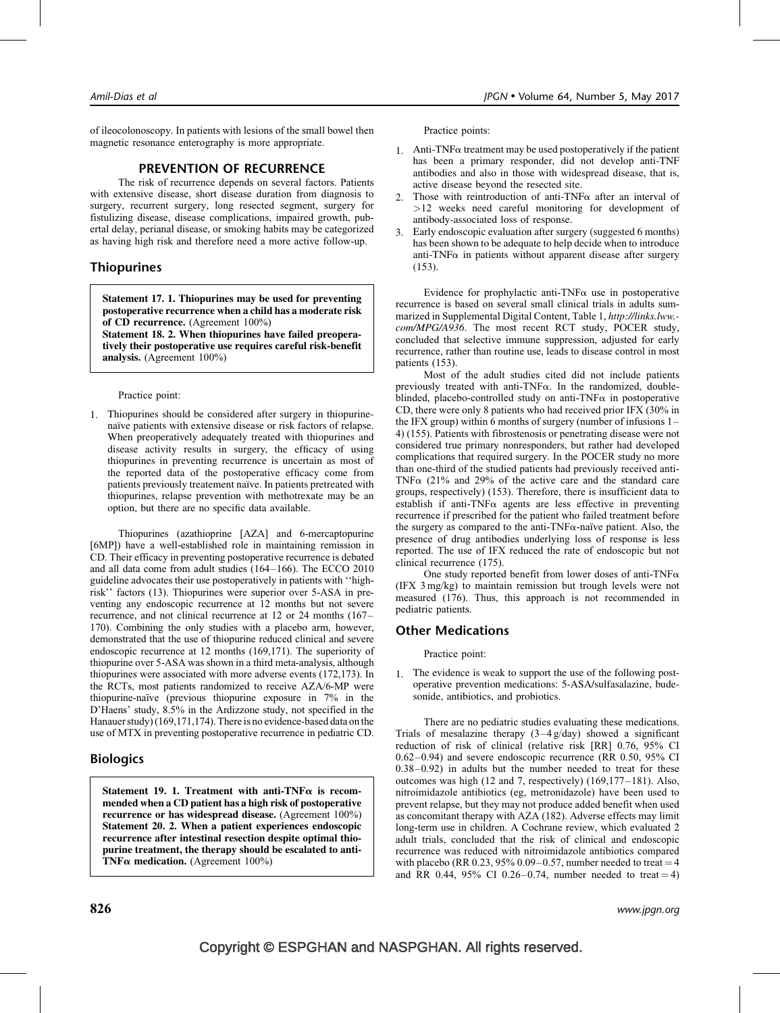of ileocolonoscopy. In patients with lesions of the small bowel then magnetic resonance enterography is more appropriate.

# PREVENTION OF RECURRENCE

The risk of recurrence depends on several factors. Patients with extensive disease, short disease duration from diagnosis to surgery, recurrent surgery, long resected segment, surgery for fistulizing disease, disease complications, impaired growth, pubertal delay, perianal disease, or smoking habits may be categorized as having high risk and therefore need a more active follow-up.

# Thiopurines

Statement 17. 1. Thiopurines may be used for preventing postoperative recurrence when a child has a moderate risk of CD recurrence. (Agreement 100%)

Statement 18. 2. When thiopurines have failed preoperatively their postoperative use requires careful risk-benefit analysis. (Agreement 100%)

#### Practice point:

1. Thiopurines should be considered after surgery in thiopurinenaïve patients with extensive disease or risk factors of relapse. When preoperatively adequately treated with thiopurines and disease activity results in surgery, the efficacy of using thiopurines in preventing recurrence is uncertain as most of the reported data of the postoperative efficacy come from patients previously treatement naïve. In patients pretreated with thiopurines, relapse prevention with methotrexate may be an option, but there are no specific data available.

Thiopurines (azathioprine [AZA] and 6-mercaptopurine [6MP]) have a well-established role in maintaining remission in CD. Their efficacy in preventing postoperative recurrence is debated and all data come from adult studies [\(164–166\)](#page-15-0). The ECCO 2010 guideline advocates their use postoperatively in patients with ''highrisk'' factors [\(13\)](#page-12-0). Thiopurines were superior over 5-ASA in preventing any endoscopic recurrence at 12 months but not severe recurrence, and not clinical recurrence at 12 or 24 months [\(167–](#page-15-0) [170\).](#page-15-0) Combining the only studies with a placebo arm, however, demonstrated that the use of thiopurine reduced clinical and severe endoscopic recurrence at 12 months [\(169,171\)](#page-15-0). The superiority of thiopurine over 5-ASA was shown in a third meta-analysis, although thiopurines were associated with more adverse events [\(172,173\)](#page-15-0). In the RCTs, most patients randomized to receive AZA/6-MP were thiopurine-naïve (previous thiopurine exposure in 7% in the D'Haens' study, 8.5% in the Ardizzone study, not specified in the Hanauer study) [\(169,171,174\)](#page-15-0). There is no evidence-based data on the use of MTX in preventing postoperative recurrence in pediatric CD.

# **Biologics**

Statement 19. 1. Treatment with anti-TNF $\alpha$  is recommended when a CD patient has a high risk of postoperative recurrence or has widespread disease. (Agreement 100%) Statement 20. 2. When a patient experiences endoscopic recurrence after intestinal resection despite optimal thiopurine treatment, the therapy should be escalated to anti-TNF $\alpha$  medication. (Agreement 100%)

Practice points:

- 1. Anti-TNF $\alpha$  treatment may be used postoperatively if the patient has been a primary responder, did not develop anti-TNF antibodies and also in those with widespread disease, that is, active disease beyond the resected site.
- 2. Those with reintroduction of anti-TNF $\alpha$  after an interval of >12 weeks need careful monitoring for development of antibody-associated loss of response.
- 3. Early endoscopic evaluation after surgery (suggested 6 months) has been shown to be adequate to help decide when to introduce anti-TNF $\alpha$  in patients without apparent disease after surgery [\(153\)](#page-15-0).

Evidence for prophylactic anti-TNF $\alpha$  use in postoperative recurrence is based on several small clinical trials in adults summarized in Supplemental Digital Content, Table 1, [http://links.lww.](http://links.lww.com/MPG/A936) com/MPG/A936[. The most recent RCT study, POCER study,](http://links.lww.com/MPG/A936) [concluded that selective immune suppression, adjusted for early](http://links.lww.com/MPG/A936) [recurrence, rather than routine use, leads to disease control in most](http://links.lww.com/MPG/A936) [patients \(153\).](http://links.lww.com/MPG/A936)

Most of the adult studies cited did not include patients previously treated with anti-TNF $\alpha$ . In the randomized, doubleblinded, placebo-controlled study on anti-TNF $\alpha$  in postoperative CD, there were only 8 patients who had received prior IFX (30% in the IFX group) within 6 months of surgery (number of infusions 1– 4) [\(155\).](#page-15-0) Patients with fibrostenosis or penetrating disease were not considered true primary nonresponders, but rather had developed complications that required surgery. In the POCER study no more than one-third of the studied patients had previously received anti-TNF $\alpha$  (21% and 29% of the active care and the standard care groups, respectively) [\(153\).](#page-15-0) Therefore, there is insufficient data to establish if anti-TNF $\alpha$  agents are less effective in preventing recurrence if prescribed for the patient who failed treatment before the surgery as compared to the anti-TNF $\alpha$ -naïve patient. Also, the presence of drug antibodies underlying loss of response is less reported. The use of IFX reduced the rate of endoscopic but not clinical recurrence [\(175\).](#page-16-0)

One study reported benefit from lower doses of anti-TNF $\alpha$ (IFX 3 mg/kg) to maintain remission but trough levels were not measured [\(176\)](#page-16-0). Thus, this approach is not recommended in pediatric patients.

# Other Medications

Practice point:

1. The evidence is weak to support the use of the following postoperative prevention medications: 5-ASA/sulfasalazine, budesonide, antibiotics, and probiotics.

There are no pediatric studies evaluating these medications. Trials of mesalazine therapy  $(3-4)$ g/day) showed a significant reduction of risk of clinical (relative risk [RR] 0.76, 95% CI 0.62–0.94) and severe endoscopic recurrence (RR 0.50, 95% CI 0.38–0.92) in adults but the number needed to treat for these outcomes was high (12 and 7, respectively) [\(169,177–181\).](#page-15-0) Also, nitroimidazole antibiotics (eg, metronidazole) have been used to prevent relapse, but they may not produce added benefit when used as concomitant therapy with AZA [\(182\)](#page-16-0). Adverse effects may limit long-term use in children. A Cochrane review, which evaluated 2 adult trials, concluded that the risk of clinical and endoscopic recurrence was reduced with nitroimidazole antibiotics compared with placebo (RR 0.23, 95% 0.09–0.57, number needed to treat  $=$  4 and RR 0.44, 95% CI 0.26–0.74, number needed to treat  $= 4$ )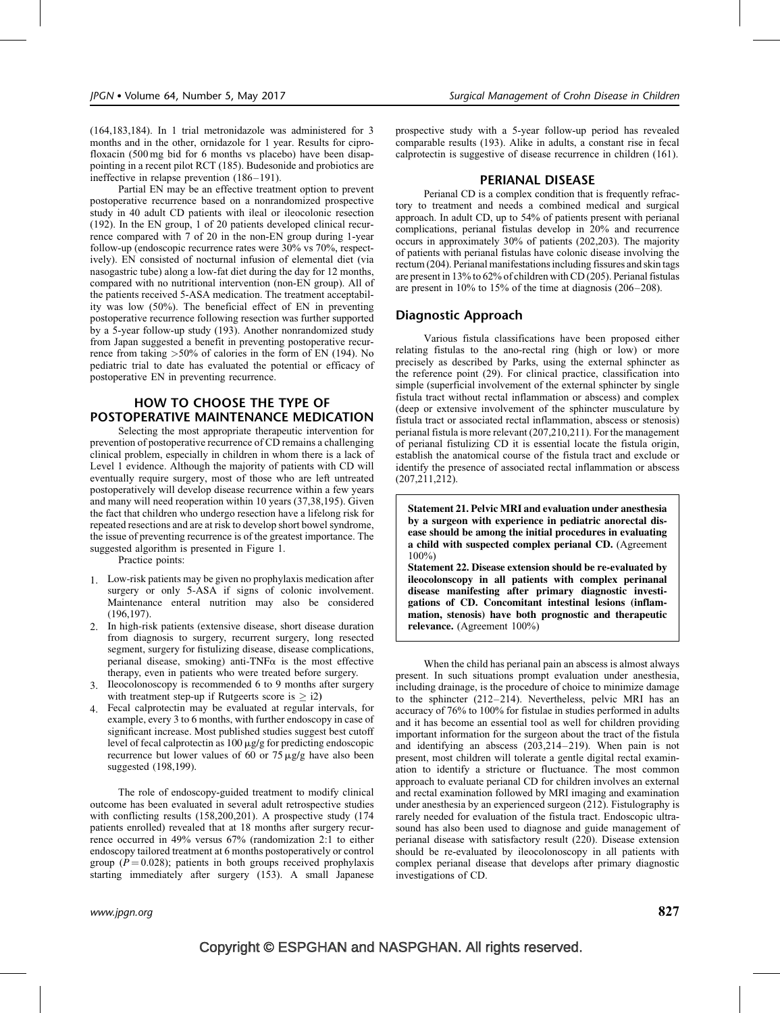[\(164,183,184\)](#page-15-0). In 1 trial metronidazole was administered for 3 months and in the other, ornidazole for 1 year. Results for ciprofloxacin (500 mg bid for 6 months vs placebo) have been disappointing in a recent pilot RCT [\(185\).](#page-16-0) Budesonide and probiotics are ineffective in relapse prevention [\(186–191\).](#page-16-0)

Partial EN may be an effective treatment option to prevent postoperative recurrence based on a nonrandomized prospective study in 40 adult CD patients with ileal or ileocolonic resection [\(192\).](#page-16-0) In the EN group, 1 of 20 patients developed clinical recurrence compared with 7 of 20 in the non-EN group during 1-year follow-up (endoscopic recurrence rates were 30% vs 70%, respectively). EN consisted of nocturnal infusion of elemental diet (via nasogastric tube) along a low-fat diet during the day for 12 months, compared with no nutritional intervention (non-EN group). All of the patients received 5-ASA medication. The treatment acceptability was low (50%). The beneficial effect of EN in preventing postoperative recurrence following resection was further supported by a 5-year follow-up study [\(193\).](#page-16-0) Another nonrandomized study from Japan suggested a benefit in preventing postoperative recurrence from taking >50% of calories in the form of EN [\(194\)](#page-16-0). No pediatric trial to date has evaluated the potential or efficacy of postoperative EN in preventing recurrence.

# HOW TO CHOOSE THE TYPE OF POSTOPERATIVE MAINTENANCE MEDICATION

Selecting the most appropriate therapeutic intervention for prevention of postoperative recurrence of CD remains a challenging clinical problem, especially in children in whom there is a lack of Level 1 evidence. Although the majority of patients with CD will eventually require surgery, most of those who are left untreated postoperatively will develop disease recurrence within a few years and many will need reoperation within 10 years [\(37,38,195\)](#page-13-0). Given the fact that children who undergo resection have a lifelong risk for repeated resections and are at risk to develop short bowel syndrome, the issue of preventing recurrence is of the greatest importance. The suggested algorithm is presented in [Figure 1](#page-10-0).

Practice points:

- 1. Low-risk patients may be given no prophylaxis medication after surgery or only 5-ASA if signs of colonic involvement. Maintenance enteral nutrition may also be considered [\(196,197\)](#page-16-0).
- 2. In high-risk patients (extensive disease, short disease duration from diagnosis to surgery, recurrent surgery, long resected segment, surgery for fistulizing disease, disease complications, perianal disease, smoking) anti-TNF $\alpha$  is the most effective therapy, even in patients who were treated before surgery.
- 3. Ileocolonoscopy is recommended 6 to 9 months after surgery with treatment step-up if Rutgeerts score is  $>$  i2)
- 4. Fecal calprotectin may be evaluated at regular intervals, for example, every 3 to 6 months, with further endoscopy in case of significant increase. Most published studies suggest best cutoff level of fecal calprotectin as  $100 \mu g/g$  for predicting endoscopic recurrence but lower values of 60 or  $75 \mu g/g$  have also been suggested [\(198,199\).](#page-16-0)

The role of endoscopy-guided treatment to modify clinical outcome has been evaluated in several adult retrospective studies with conflicting results [\(158,200,201\).](#page-15-0) A prospective study (174 patients enrolled) revealed that at 18 months after surgery recurrence occurred in 49% versus 67% (randomization 2:1 to either endoscopy tailored treatment at 6 months postoperatively or control group ( $P = 0.028$ ); patients in both groups received prophylaxis starting immediately after surgery (153). A small Japanese prospective study with a 5-year follow-up period has revealed comparable results [\(193\)](#page-16-0). Alike in adults, a constant rise in fecal calprotectin is suggestive of disease recurrence in children [\(161\).](#page-15-0)

#### PERIANAL DISEASE

Perianal CD is a complex condition that is frequently refractory to treatment and needs a combined medical and surgical approach. In adult CD, up to 54% of patients present with perianal complications, perianal fistulas develop in 20% and recurrence occurs in approximately 30% of patients [\(202,203\).](#page-16-0) The majority of patients with perianal fistulas have colonic disease involving the rectum [\(204\)](#page-16-0). Perianal manifestations including fissures and skin tags are present in 13% to 62% of children with CD [\(205\)](#page-16-0). Perianal fistulas are present in 10% to 15% of the time at diagnosis [\(206–208\)](#page-16-0).

## Diagnostic Approach

Various fistula classifications have been proposed either relating fistulas to the ano-rectal ring (high or low) or more precisely as described by Parks, using the external sphincter as the reference point [\(29\).](#page-12-0) For clinical practice, classification into simple (superficial involvement of the external sphincter by single fistula tract without rectal inflammation or abscess) and complex (deep or extensive involvement of the sphincter musculature by fistula tract or associated rectal inflammation, abscess or stenosis) perianal fistula is more relevant [\(207,210,211\)](#page-16-0). For the management of perianal fistulizing CD it is essential locate the fistula origin, establish the anatomical course of the fistula tract and exclude or identify the presence of associated rectal inflammation or abscess [\(207,211,212\).](#page-16-0)

Statement 21. Pelvic MRI and evaluation under anesthesia by a surgeon with experience in pediatric anorectal disease should be among the initial procedures in evaluating a child with suspected complex perianal CD. (Agreement 100%)

Statement 22. Disease extension should be re-evaluated by ileocolonscopy in all patients with complex perinanal disease manifesting after primary diagnostic investigations of CD. Concomitant intestinal lesions (inflammation, stenosis) have both prognostic and therapeutic relevance. (Agreement 100%)

When the child has perianal pain an abscess is almost always present. In such situations prompt evaluation under anesthesia, including drainage, is the procedure of choice to minimize damage to the sphincter [\(212–214\)](#page-16-0). Nevertheless, pelvic MRI has an accuracy of 76% to 100% for fistulae in studies performed in adults and it has become an essential tool as well for children providing important information for the surgeon about the tract of the fistula and identifying an abscess [\(203,214–219\)](#page-16-0). When pain is not present, most children will tolerate a gentle digital rectal examination to identify a stricture or fluctuance. The most common approach to evaluate perianal CD for children involves an external and rectal examination followed by MRI imaging and examination under anesthesia by an experienced surgeon [\(212\).](#page-16-0) Fistulography is rarely needed for evaluation of the fistula tract. Endoscopic ultrasound has also been used to diagnose and guide management of perianal disease with satisfactory result [\(220\)](#page-17-0). Disease extension should be re-evaluated by ileocolonoscopy in all patients with complex perianal disease that develops after primary diagnostic investigations of CD.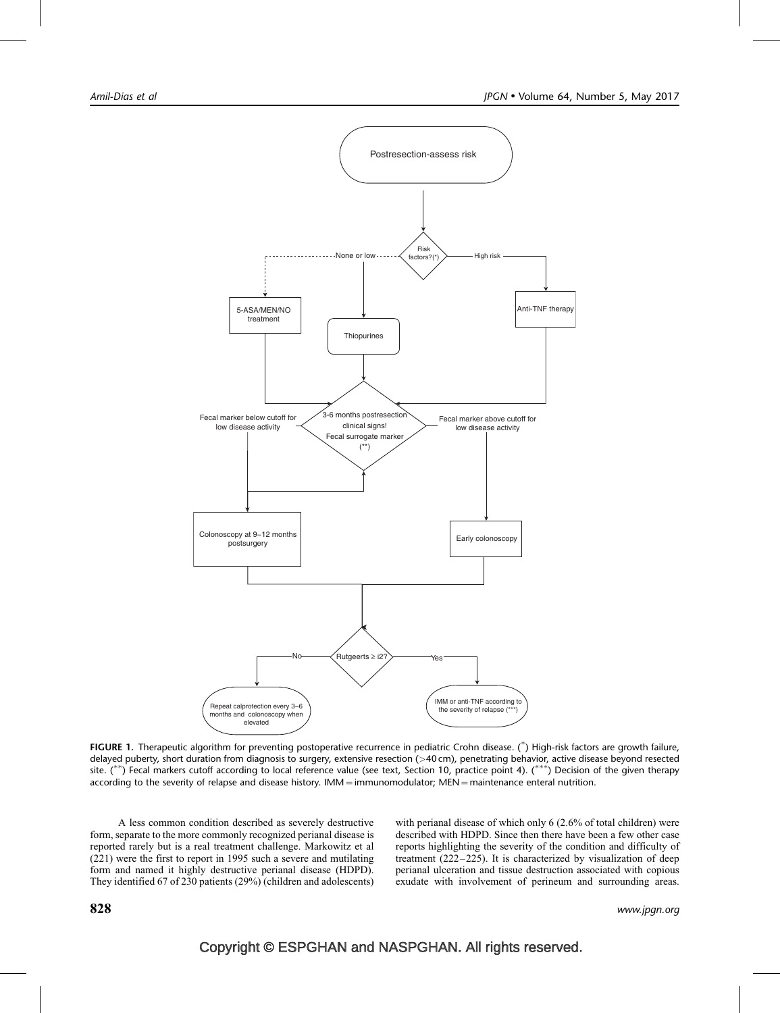<span id="page-10-0"></span>

FIGURE 1. Therapeutic algorithm for preventing postoperative recurrence in pediatric Crohn disease. (\*) High-risk factors are growth failure, delayed puberty, short duration from diagnosis to surgery, extensive resection (>40 cm), penetrating behavior, active disease beyond resected site. (\*\*) Fecal markers cutoff according to local reference value (see text, Section 10, practice point 4). (\*\*\*) Decision of the given therapy according to the severity of relapse and disease history.  $IMM = immunomodulator$ ;  $MEN = maintenance$  enteral nutrition.

A less common condition described as severely destructive form, separate to the more commonly recognized perianal disease is reported rarely but is a real treatment challenge. Markowitz et al [\(221\)](#page-17-0) were the first to report in 1995 such a severe and mutilating form and named it highly destructive perianal disease (HDPD). They identified 67 of 230 patients (29%) (children and adolescents) with perianal disease of which only 6 (2.6% of total children) were described with HDPD. Since then there have been a few other case reports highlighting the severity of the condition and difficulty of treatment [\(222–225\)](#page-17-0). It is characterized by visualization of deep perianal ulceration and tissue destruction associated with copious exudate with involvement of perineum and surrounding areas.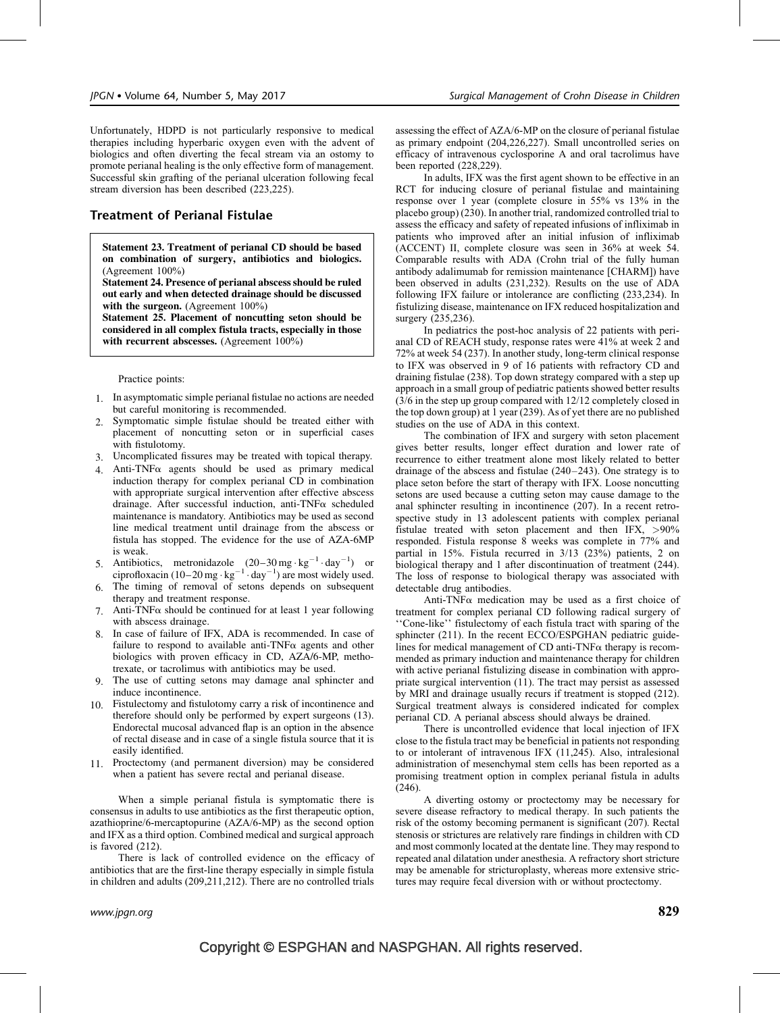Unfortunately, HDPD is not particularly responsive to medical therapies including hyperbaric oxygen even with the advent of biologics and often diverting the fecal stream via an ostomy to promote perianal healing is the only effective form of management. Successful skin grafting of the perianal ulceration following fecal stream diversion has been described [\(223,225\)](#page-17-0).

## Treatment of Perianal Fistulae

Statement 23. Treatment of perianal CD should be based on combination of surgery, antibiotics and biologics. (Agreement 100%)

Statement 24. Presence of perianal abscess should be ruled out early and when detected drainage should be discussed with the surgeon. (Agreement 100%)

Statement 25. Placement of noncutting seton should be considered in all complex fistula tracts, especially in those with recurrent abscesses. (Agreement 100%)

#### Practice points:

- 1. In asymptomatic simple perianal fistulae no actions are needed but careful monitoring is recommended.
- 2. Symptomatic simple fistulae should be treated either with placement of noncutting seton or in superficial cases with fistulotomy.
- 3. Uncomplicated fissures may be treated with topical therapy.
- 4. Anti-TNF $\alpha$  agents should be used as primary medical induction therapy for complex perianal CD in combination with appropriate surgical intervention after effective abscess drainage. After successful induction, anti-TNF $\alpha$  scheduled maintenance is mandatory. Antibiotics may be used as second line medical treatment until drainage from the abscess or fistula has stopped. The evidence for the use of AZA-6MP is weak.
- 5. Antibiotics, metronidazole  $(20-30 \text{ mg} \cdot \text{kg}^{-1} \cdot \text{day}^{-1})$  or ciprofloxacin  $(10-20 \text{ mg} \cdot \text{kg}^{-1} \cdot \text{day}^{-1})$  are most widely used.
- 6. The timing of removal of setons depends on subsequent therapy and treatment response.
- 7. Anti-TNF $\alpha$  should be continued for at least 1 year following with abscess drainage.
- 8. In case of failure of IFX, ADA is recommended. In case of failure to respond to available anti-TNF $\alpha$  agents and other biologics with proven efficacy in CD, AZA/6-MP, methotrexate, or tacrolimus with antibiotics may be used.
- 9. The use of cutting setons may damage anal sphincter and induce incontinence.
- 10. Fistulectomy and fistulotomy carry a risk of incontinence and therefore should only be performed by expert surgeons [\(13\)](#page-12-0). Endorectal mucosal advanced flap is an option in the absence of rectal disease and in case of a single fistula source that it is easily identified.
- 11. Proctectomy (and permanent diversion) may be considered when a patient has severe rectal and perianal disease.

When a simple perianal fistula is symptomatic there is consensus in adults to use antibiotics as the first therapeutic option, azathioprine/6-mercaptopurine (AZA/6-MP) as the second option and IFX as a third option. Combined medical and surgical approach is favored [\(212\)](#page-16-0).

There is lack of controlled evidence on the efficacy of antibiotics that are the first-line therapy especially in simple fistula in children and adults [\(209,211,212\).](#page-16-0) There are no controlled trials

assessing the effect of AZA/6-MP on the closure of perianal fistulae as primary endpoint [\(204,226,227\).](#page-16-0) Small uncontrolled series on efficacy of intravenous cyclosporine A and oral tacrolimus have been reported [\(228,229\).](#page-17-0)

In adults, IFX was the first agent shown to be effective in an RCT for inducing closure of perianal fistulae and maintaining response over 1 year (complete closure in 55% vs 13% in the placebo group) [\(230\).](#page-17-0) In another trial, randomized controlled trial to assess the efficacy and safety of repeated infusions of infliximab in patients who improved after an initial infusion of infliximab (ACCENT) II, complete closure was seen in 36% at week 54. Comparable results with ADA (Crohn trial of the fully human antibody adalimumab for remission maintenance [CHARM]) have been observed in adults [\(231,232\)](#page-17-0). Results on the use of ADA following IFX failure or intolerance are conflicting [\(233,234\).](#page-17-0) In fistulizing disease, maintenance on IFX reduced hospitalization and surgery [\(235,236\).](#page-17-0)

In pediatrics the post-hoc analysis of 22 patients with perianal CD of REACH study, response rates were 41% at week 2 and 72% at week 54 [\(237\).](#page-17-0) In another study, long-term clinical response to IFX was observed in 9 of 16 patients with refractory CD and draining fistulae [\(238\)](#page-17-0). Top down strategy compared with a step up approach in a small group of pediatric patients showed better results (3/6 in the step up group compared with 12/12 completely closed in the top down group) at 1 year [\(239\).](#page-17-0) As of yet there are no published studies on the use of ADA in this context.

The combination of IFX and surgery with seton placement gives better results, longer effect duration and lower rate of recurrence to either treatment alone most likely related to better drainage of the abscess and fistulae [\(240–243\)](#page-17-0). One strategy is to place seton before the start of therapy with IFX. Loose noncutting setons are used because a cutting seton may cause damage to the anal sphincter resulting in incontinence [\(207\)](#page-16-0). In a recent retrospective study in 13 adolescent patients with complex perianal fistulae treated with seton placement and then IFX, >90% responded. Fistula response 8 weeks was complete in 77% and partial in 15%. Fistula recurred in 3/13 (23%) patients, 2 on biological therapy and 1 after discontinuation of treatment [\(244\).](#page-17-0) The loss of response to biological therapy was associated with detectable drug antibodies.

Anti-TNF $\alpha$  medication may be used as a first choice of treatment for complex perianal CD following radical surgery of ''Cone-like'' fistulectomy of each fistula tract with sparing of the sphincter [\(211\).](#page-16-0) In the recent ECCO/ESPGHAN pediatric guidelines for medical management of CD anti-TNF $\alpha$  therapy is recommended as primary induction and maintenance therapy for children with active perianal fistulizing disease in combination with appropriate surgical intervention [\(11\)](#page-12-0). The tract may persist as assessed by MRI and drainage usually recurs if treatment is stopped [\(212\).](#page-16-0) Surgical treatment always is considered indicated for complex perianal CD. A perianal abscess should always be drained.

There is uncontrolled evidence that local injection of IFX close to the fistula tract may be beneficial in patients not responding to or intolerant of intravenous IFX [\(11,245\)](#page-12-0). Also, intralesional administration of mesenchymal stem cells has been reported as a promising treatment option in complex perianal fistula in adults [\(246\)](#page-17-0).

A diverting ostomy or proctectomy may be necessary for severe disease refractory to medical therapy. In such patients the risk of the ostomy becoming permanent is significant [\(207\)](#page-16-0). Rectal stenosis or strictures are relatively rare findings in children with CD and most commonly located at the dentate line. They may respond to repeated anal dilatation under anesthesia. A refractory short stricture may be amenable for stricturoplasty, whereas more extensive strictures may require fecal diversion with or without proctectomy.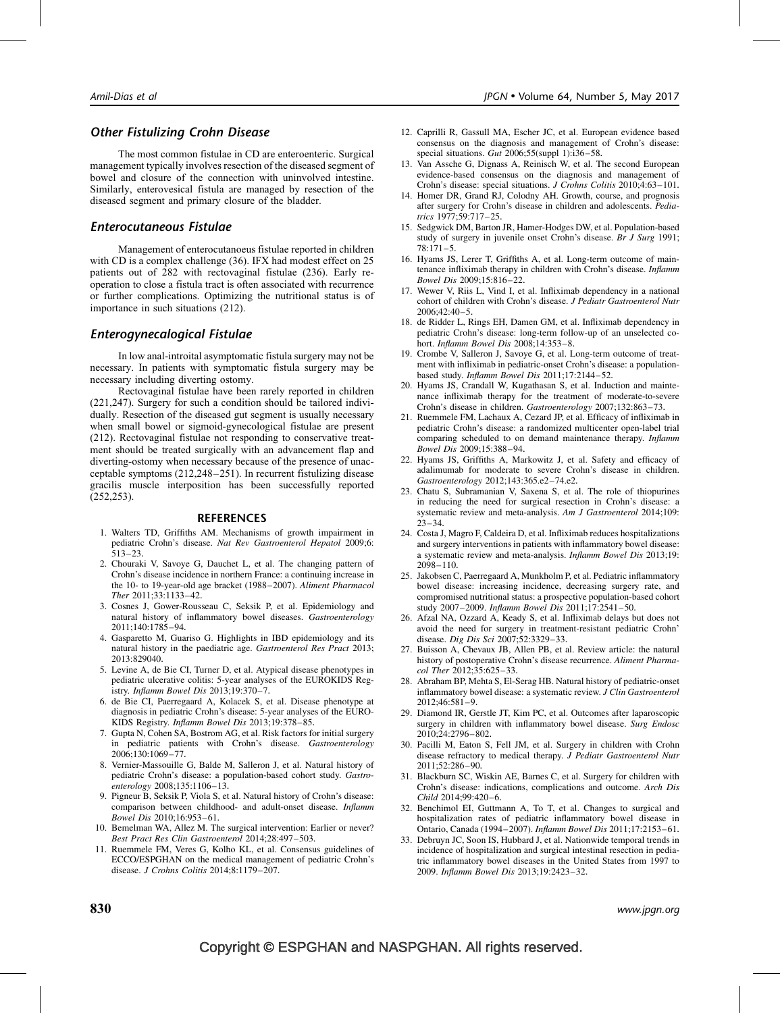## <span id="page-12-0"></span>Other Fistulizing Crohn Disease

The most common fistulae in CD are enteroenteric. Surgical management typically involves resection of the diseased segment of bowel and closure of the connection with uninvolved intestine. Similarly, enterovesical fistula are managed by resection of the diseased segment and primary closure of the bladder.

## Enterocutaneous Fistulae

Management of enterocutanoeus fistulae reported in children with CD is a complex challenge [\(36\)](#page-13-0). IFX had modest effect on 25 patients out of 282 with rectovaginal fistulae [\(236\)](#page-17-0). Early reoperation to close a fistula tract is often associated with recurrence or further complications. Optimizing the nutritional status is of importance in such situations [\(212\)](#page-16-0).

## Enterogynecalogical Fistulae

In low anal-introital asymptomatic fistula surgery may not be necessary. In patients with symptomatic fistula surgery may be necessary including diverting ostomy.

Rectovaginal fistulae have been rarely reported in children [\(221,247\).](#page-17-0) Surgery for such a condition should be tailored individually. Resection of the diseased gut segment is usually necessary when small bowel or sigmoid-gynecological fistulae are present [\(212\).](#page-16-0) Rectovaginal fistulae not responding to conservative treatment should be treated surgically with an advancement flap and diverting-ostomy when necessary because of the presence of unacceptable symptoms [\(212,248–251\).](#page-16-0) In recurrent fistulizing disease gracilis muscle interposition has been successfully reported [\(252,253\).](#page-17-0)

#### REFERENCES

- 1. Walters TD, Griffiths AM. Mechanisms of growth impairment in pediatric Crohn's disease. Nat Rev Gastroenterol Hepatol 2009;6: 513–23.
- 2. Chouraki V, Savoye G, Dauchet L, et al. The changing pattern of Crohn's disease incidence in northern France: a continuing increase in the 10- to 19-year-old age bracket (1988–2007). Aliment Pharmacol Ther 2011;33:1133–42.
- 3. Cosnes J, Gower-Rousseau C, Seksik P, et al. Epidemiology and natural history of inflammatory bowel diseases. Gastroenterology 2011;140:1785–94.
- 4. Gasparetto M, Guariso G. Highlights in IBD epidemiology and its natural history in the paediatric age. Gastroenterol Res Pract 2013; 2013:829040.
- 5. Levine A, de Bie CI, Turner D, et al. Atypical disease phenotypes in pediatric ulcerative colitis: 5-year analyses of the EUROKIDS Registry. Inflamm Bowel Dis 2013;19:370–7.
- 6. de Bie CI, Paerregaard A, Kolacek S, et al. Disease phenotype at diagnosis in pediatric Crohn's disease: 5-year analyses of the EURO-KIDS Registry. Inflamm Bowel Dis 2013;19:378–85.
- 7. Gupta N, Cohen SA, Bostrom AG, et al. Risk factors for initial surgery in pediatric patients with Crohn's disease. Gastroenterology 2006;130:1069–77.
- 8. Vernier-Massouille G, Balde M, Salleron J, et al. Natural history of pediatric Crohn's disease: a population-based cohort study. Gastroenterology 2008;135:1106–13.
- 9. Pigneur B, Seksik P, Viola S, et al. Natural history of Crohn's disease: comparison between childhood- and adult-onset disease. Inflamm Bowel Dis 2010;16:953–61.
- 10. Bemelman WA, Allez M. The surgical intervention: Earlier or never? Best Pract Res Clin Gastroenterol 2014;28:497–503.
- 11. Ruemmele FM, Veres G, Kolho KL, et al. Consensus guidelines of ECCO/ESPGHAN on the medical management of pediatric Crohn's disease. J Crohns Colitis 2014;8:1179–207.
- 12. Caprilli R, Gassull MA, Escher JC, et al. European evidence based consensus on the diagnosis and management of Crohn's disease: special situations.  $Gut$  2006;55(suppl 1): $i36-58$ .
- 13. Van Assche G, Dignass A, Reinisch W, et al. The second European evidence-based consensus on the diagnosis and management of Crohn's disease: special situations. J Crohns Colitis 2010;4:63-101.
- 14. Homer DR, Grand RJ, Colodny AH. Growth, course, and prognosis after surgery for Crohn's disease in children and adolescents. Pediatrics 1977;59:717–25.
- 15. Sedgwick DM, Barton JR, Hamer-Hodges DW, et al. Population-based study of surgery in juvenile onset Crohn's disease. Br J Surg 1991;  $78.171 - 5$
- 16. Hyams JS, Lerer T, Griffiths A, et al. Long-term outcome of maintenance infliximab therapy in children with Crohn's disease. Inflamm Bowel Dis 2009;15:816–22.
- 17. Wewer V, Riis L, Vind I, et al. Infliximab dependency in a national cohort of children with Crohn's disease. J Pediatr Gastroenterol Nutr 2006;42:40–5.
- 18. de Ridder L, Rings EH, Damen GM, et al. Infliximab dependency in pediatric Crohn's disease: long-term follow-up of an unselected cohort. Inflamm Bowel Dis 2008;14:353–8.
- 19. Crombe V, Salleron J, Savoye G, et al. Long-term outcome of treatment with infliximab in pediatric-onset Crohn's disease: a populationbased study. Inflamm Bowel Dis 2011;17:2144–52.
- 20. Hyams JS, Crandall W, Kugathasan S, et al. Induction and maintenance infliximab therapy for the treatment of moderate-to-severe Crohn's disease in children. Gastroenterology 2007;132:863–73.
- 21. Ruemmele FM, Lachaux A, Cezard JP, et al. Efficacy of infliximab in pediatric Crohn's disease: a randomized multicenter open-label trial comparing scheduled to on demand maintenance therapy. Inflamm Bowel Dis 2009;15:388–94.
- 22. Hyams JS, Griffiths A, Markowitz J, et al. Safety and efficacy of adalimumab for moderate to severe Crohn's disease in children. Gastroenterology 2012;143:365.e2–74.e2.
- 23. Chatu S, Subramanian V, Saxena S, et al. The role of thiopurines in reducing the need for surgical resection in Crohn's disease: a systematic review and meta-analysis. Am J Gastroenterol 2014;109:  $23 - 34.$
- 24. Costa J, Magro F, Caldeira D, et al. Infliximab reduces hospitalizations and surgery interventions in patients with inflammatory bowel disease: a systematic review and meta-analysis. Inflamm Bowel Dis 2013;19: 2098–110.
- 25. Jakobsen C, Paerregaard A, Munkholm P, et al. Pediatric inflammatory bowel disease: increasing incidence, decreasing surgery rate, and compromised nutritional status: a prospective population-based cohort study 2007–2009. Inflamm Bowel Dis 2011;17:2541–50.
- 26. Afzal NA, Ozzard A, Keady S, et al. Infliximab delays but does not avoid the need for surgery in treatment-resistant pediatric Crohn' disease. Dig Dis Sci 2007;52:3329–33.
- 27. Buisson A, Chevaux JB, Allen PB, et al. Review article: the natural history of postoperative Crohn's disease recurrence. Aliment Pharmacol Ther 2012;35:625–33.
- 28. Abraham BP, Mehta S, El-Serag HB. Natural history of pediatric-onset inflammatory bowel disease: a systematic review. J Clin Gastroenterol 2012;46:581–9.
- 29. Diamond IR, Gerstle JT, Kim PC, et al. Outcomes after laparoscopic surgery in children with inflammatory bowel disease. Surg Endosc 2010;24:2796–802.
- 30. Pacilli M, Eaton S, Fell JM, et al. Surgery in children with Crohn disease refractory to medical therapy. J Pediatr Gastroenterol Nutr 2011;52:286–90.
- 31. Blackburn SC, Wiskin AE, Barnes C, et al. Surgery for children with Crohn's disease: indications, complications and outcome. Arch Dis Child 2014;99:420–6.
- 32. Benchimol EI, Guttmann A, To T, et al. Changes to surgical and hospitalization rates of pediatric inflammatory bowel disease in Ontario, Canada (1994–2007). Inflamm Bowel Dis 2011;17:2153–61.
- 33. Debruyn JC, Soon IS, Hubbard J, et al. Nationwide temporal trends in incidence of hospitalization and surgical intestinal resection in pediatric inflammatory bowel diseases in the United States from 1997 to 2009. Inflamm Bowel Dis 2013;19:2423–32.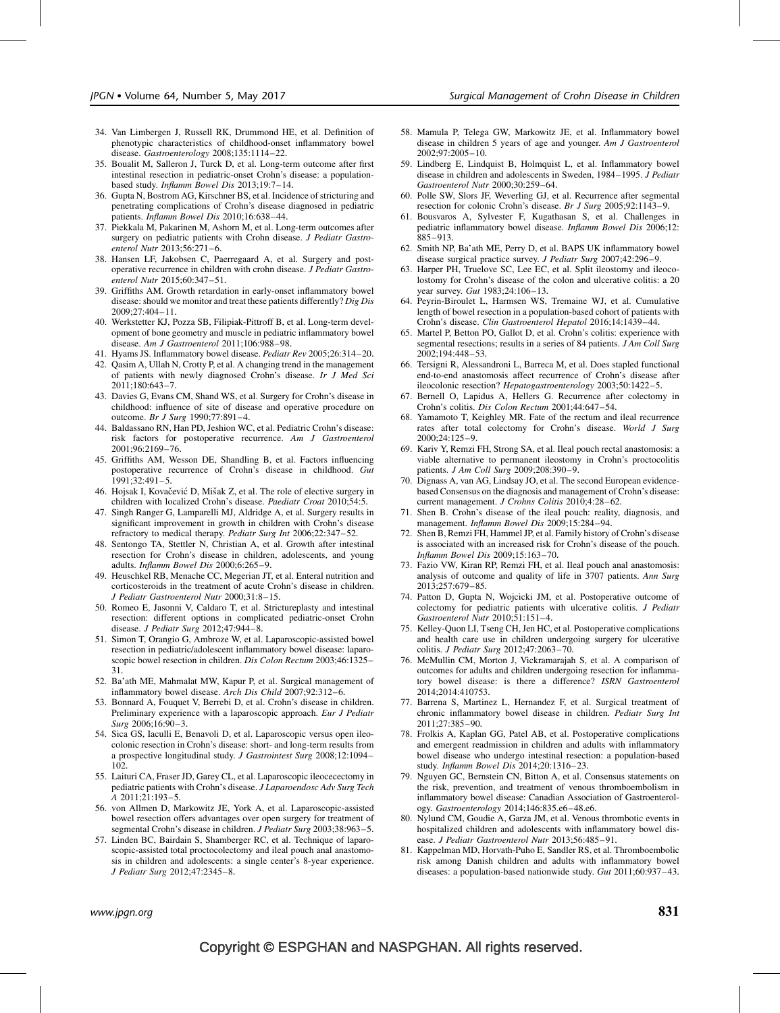- <span id="page-13-0"></span>34. Van Limbergen J, Russell RK, Drummond HE, et al. Definition of phenotypic characteristics of childhood-onset inflammatory bowel disease. Gastroenterology 2008;135:1114-22.
- 35. Boualit M, Salleron J, Turck D, et al. Long-term outcome after first intestinal resection in pediatric-onset Crohn's disease: a populationbased study. Inflamm Bowel Dis 2013;19:7–14.
- 36. Gupta N, Bostrom AG, Kirschner BS, et al. Incidence of stricturing and penetrating complications of Crohn's disease diagnosed in pediatric patients. Inflamm Bowel Dis 2010;16:638–44.
- 37. Piekkala M, Pakarinen M, Ashorn M, et al. Long-term outcomes after surgery on pediatric patients with Crohn disease. J Pediatr Gastroenterol Nutr 2013;56:271–6.
- 38. Hansen LF, Jakobsen C, Paerregaard A, et al. Surgery and postoperative recurrence in children with crohn disease. J Pediatr Gastroenterol Nutr 2015;60:347–51.
- 39. Griffiths AM. Growth retardation in early-onset inflammatory bowel disease: should we monitor and treat these patients differently? Dig Dis 2009;27:404–11.
- 40. Werkstetter KJ, Pozza SB, Filipiak-Pittroff B, et al. Long-term development of bone geometry and muscle in pediatric inflammatory bowel disease. Am J Gastroenterol 2011;106:988–98.
- 41. Hyams JS. Inflammatory bowel disease. Pediatr Rev 2005;26:314–20.
- 42. Qasim A, Ullah N, Crotty P, et al. A changing trend in the management of patients with newly diagnosed Crohn's disease. Ir J Med Sci 2011;180:643–7.
- 43. Davies G, Evans CM, Shand WS, et al. Surgery for Crohn's disease in childhood: influence of site of disease and operative procedure on outcome. Br J Surg 1990;77:891–4.
- 44. Baldassano RN, Han PD, Jeshion WC, et al. Pediatric Crohn's disease: risk factors for postoperative recurrence. Am J Gastroenterol 2001;96:2169–76.
- 45. Griffiths AM, Wesson DE, Shandling B, et al. Factors influencing postoperative recurrence of Crohn's disease in childhood. Gut 1991;32:491–5.
- 46. Hojsak I, Kovačević D, Mišak Z, et al. The role of elective surgery in children with localized Crohn's disease. Paediatr Croat 2010;54:5.
- 47. Singh Ranger G, Lamparelli MJ, Aldridge A, et al. Surgery results in significant improvement in growth in children with Crohn's disease refractory to medical therapy. Pediatr Surg Int 2006;22:347-52.
- 48. Sentongo TA, Stettler N, Christian A, et al. Growth after intestinal resection for Crohn's disease in children, adolescents, and young adults. Inflamm Bowel Dis 2000;6:265–9.
- 49. Heuschkel RB, Menache CC, Megerian JT, et al. Enteral nutrition and corticosteroids in the treatment of acute Crohn's disease in children. J Pediatr Gastroenterol Nutr 2000;31:8–15.
- 50. Romeo E, Jasonni V, Caldaro T, et al. Strictureplasty and intestinal resection: different options in complicated pediatric-onset Crohn disease. J Pediatr Surg 2012;47:944–8.
- 51. Simon T, Orangio G, Ambroze W, et al. Laparoscopic-assisted bowel resection in pediatric/adolescent inflammatory bowel disease: laparoscopic bowel resection in children. Dis Colon Rectum 2003;46:1325– 31.
- 52. Ba'ath ME, Mahmalat MW, Kapur P, et al. Surgical management of inflammatory bowel disease. Arch Dis Child 2007;92:312–6.
- 53. Bonnard A, Fouquet V, Berrebi D, et al. Crohn's disease in children. Preliminary experience with a laparoscopic approach. Eur J Pediatr Surg 2006;16:90–3.
- 54. Sica GS, Iaculli E, Benavoli D, et al. Laparoscopic versus open ileocolonic resection in Crohn's disease: short- and long-term results from a prospective longitudinal study. J Gastrointest Surg 2008;12:1094– 102.
- 55. Laituri CA, Fraser JD, Garey CL, et al. Laparoscopic ileocecectomy in pediatric patients with Crohn's disease. J Laparoendosc Adv Surg Tech A 2011;21:193–5.
- 56. von Allmen D, Markowitz JE, York A, et al. Laparoscopic-assisted bowel resection offers advantages over open surgery for treatment of segmental Crohn's disease in children. J Pediatr Surg 2003;38:963-5.
- 57. Linden BC, Bairdain S, Shamberger RC, et al. Technique of laparoscopic-assisted total proctocolectomy and ileal pouch anal anastomosis in children and adolescents: a single center's 8-year experience. J Pediatr Surg 2012;47:2345–8.
- 58. Mamula P, Telega GW, Markowitz JE, et al. Inflammatory bowel disease in children 5 years of age and younger. Am J Gastroenterol 2002;97:2005–10.
- 59. Lindberg E, Lindquist B, Holmquist L, et al. Inflammatory bowel disease in children and adolescents in Sweden, 1984–1995. J Pediatr Gastroenterol Nutr 2000;30:259–64.
- 60. Polle SW, Slors JF, Weverling GJ, et al. Recurrence after segmental resection for colonic Crohn's disease. Br J Surg 2005;92:1143–9.
- 61. Bousvaros A, Sylvester F, Kugathasan S, et al. Challenges in pediatric inflammatory bowel disease. Inflamm Bowel Dis 2006;12: 885–913.
- 62. Smith NP, Ba'ath ME, Perry D, et al. BAPS UK inflammatory bowel disease surgical practice survey. J Pediatr Surg 2007;42:296–9.
- 63. Harper PH, Truelove SC, Lee EC, et al. Split ileostomy and ileocolostomy for Crohn's disease of the colon and ulcerative colitis: a 20 year survey. Gut 1983;24:106–13.
- 64. Peyrin-Biroulet L, Harmsen WS, Tremaine WJ, et al. Cumulative length of bowel resection in a population-based cohort of patients with Crohn's disease. Clin Gastroenterol Hepatol 2016;14:1439–44.
- 65. Martel P, Betton PO, Gallot D, et al. Crohn's colitis: experience with segmental resections; results in a series of 84 patients. J Am Coll Surg 2002;194:448–53.
- 66. Tersigni R, Alessandroni L, Barreca M, et al. Does stapled functional end-to-end anastomosis affect recurrence of Crohn's disease after ileocolonic resection? Hepatogastroenterology 2003;50:1422–5.
- 67. Bernell O, Lapidus A, Hellers G. Recurrence after colectomy in Crohn's colitis. Dis Colon Rectum 2001;44:647–54.
- 68. Yamamoto T, Keighley MR. Fate of the rectum and ileal recurrence rates after total colectomy for Crohn's disease. World J Surg 2000;24:125–9.
- 69. Kariv Y, Remzi FH, Strong SA, et al. Ileal pouch rectal anastomosis: a viable alternative to permanent ileostomy in Crohn's proctocolitis patients. J Am Coll Surg 2009;208:390–9.
- 70. Dignass A, van AG, Lindsay JO, et al. The second European evidencebased Consensus on the diagnosis and management of Crohn's disease: current management. J Crohns Colitis 2010;4:28–62.
- 71. Shen B. Crohn's disease of the ileal pouch: reality, diagnosis, and management. Inflamm Bowel Dis 2009;15:284–94.
- 72. Shen B, Remzi FH, Hammel JP, et al. Family history of Crohn's disease is associated with an increased risk for Crohn's disease of the pouch. Inflamm Bowel Dis 2009;15:163–70.
- 73. Fazio VW, Kiran RP, Remzi FH, et al. Ileal pouch anal anastomosis: analysis of outcome and quality of life in 3707 patients. Ann Surg 2013;257:679–85.
- 74. Patton D, Gupta N, Wojcicki JM, et al. Postoperative outcome of colectomy for pediatric patients with ulcerative colitis. J Pediatr Gastroenterol Nutr 2010;51:151–4.
- 75. Kelley-Quon LI, Tseng CH, Jen HC, et al. Postoperative complications and health care use in children undergoing surgery for ulcerative colitis. J Pediatr Surg 2012;47:2063–70.
- 76. McMullin CM, Morton J, Vickramarajah S, et al. A comparison of outcomes for adults and children undergoing resection for inflammatory bowel disease: is there a difference? ISRN Gastroenterol 2014;2014:410753.
- 77. Barrena S, Martinez L, Hernandez F, et al. Surgical treatment of chronic inflammatory bowel disease in children. Pediatr Surg Int 2011;27:385–90.
- 78. Frolkis A, Kaplan GG, Patel AB, et al. Postoperative complications and emergent readmission in children and adults with inflammatory bowel disease who undergo intestinal resection: a population-based study. Inflamm Bowel Dis 2014;20:1316–23.
- 79. Nguyen GC, Bernstein CN, Bitton A, et al. Consensus statements on the risk, prevention, and treatment of venous thromboembolism in inflammatory bowel disease: Canadian Association of Gastroenterology. Gastroenterology 2014;146:835.e6–48.e6.
- 80. Nylund CM, Goudie A, Garza JM, et al. Venous thrombotic events in hospitalized children and adolescents with inflammatory bowel disease. J Pediatr Gastroenterol Nutr 2013;56:485–91.
- 81. Kappelman MD, Horvath-Puho E, Sandler RS, et al. Thromboembolic risk among Danish children and adults with inflammatory bowel diseases: a population-based nationwide study. Gut 2011;60:937–43.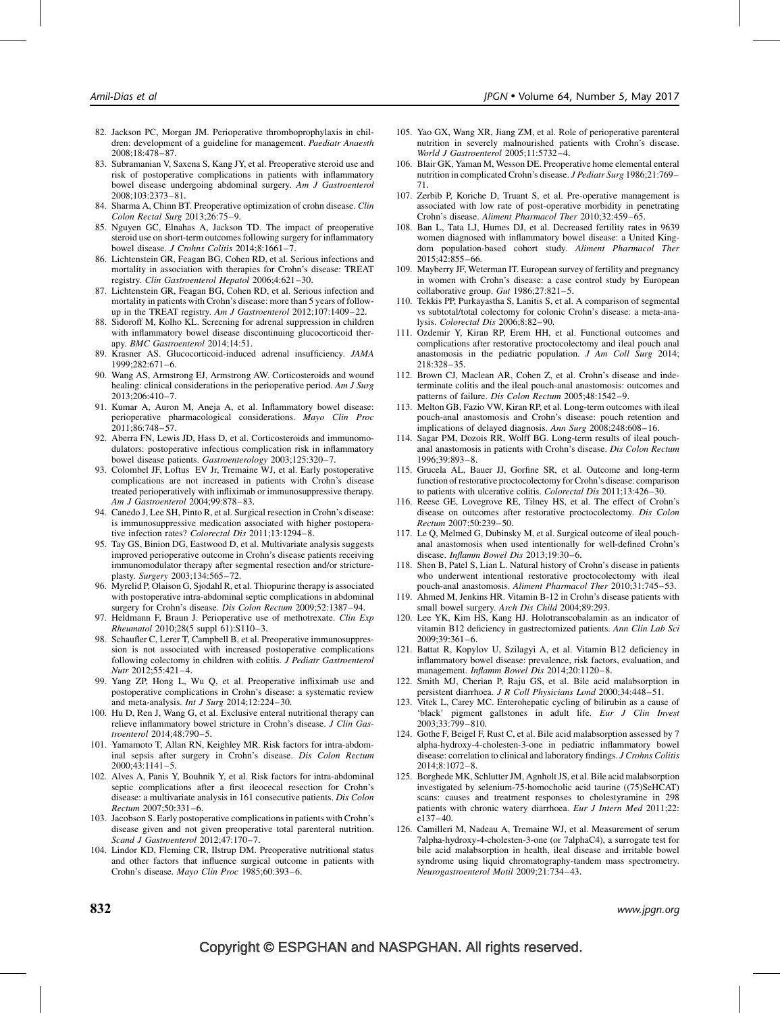- <span id="page-14-0"></span>82. Jackson PC, Morgan JM. Perioperative thromboprophylaxis in children: development of a guideline for management. Paediatr Anaesth 2008;18:478–87.
- 83. Subramanian V, Saxena S, Kang JY, et al. Preoperative steroid use and risk of postoperative complications in patients with inflammatory bowel disease undergoing abdominal surgery. Am J Gastroenterol 2008;103:2373–81.
- 84. Sharma A, Chinn BT. Preoperative optimization of crohn disease. Clin Colon Rectal Surg 2013;26:75–9.
- 85. Nguyen GC, Elnahas A, Jackson TD. The impact of preoperative steroid use on short-term outcomes following surgery for inflammatory bowel disease. J Crohns Colitis 2014;8:1661-7.
- 86. Lichtenstein GR, Feagan BG, Cohen RD, et al. Serious infections and mortality in association with therapies for Crohn's disease: TREAT registry. Clin Gastroenterol Hepatol 2006;4:621–30.
- 87. Lichtenstein GR, Feagan BG, Cohen RD, et al. Serious infection and mortality in patients with Crohn's disease: more than 5 years of followup in the TREAT registry. Am J Gastroenterol 2012;107:1409-22.
- 88. Sidoroff M, Kolho KL. Screening for adrenal suppression in children with inflammatory bowel disease discontinuing glucocorticoid therapy. BMC Gastroenterol 2014;14:51.
- 89. Krasner AS. Glucocorticoid-induced adrenal insufficiency. JAMA 1999;282:671–6.
- 90. Wang AS, Armstrong EJ, Armstrong AW. Corticosteroids and wound healing: clinical considerations in the perioperative period. Am J Surg 2013;206:410–7.
- 91. Kumar A, Auron M, Aneja A, et al. Inflammatory bowel disease: perioperative pharmacological considerations. Mayo Clin Proc 2011;86:748–57.
- 92. Aberra FN, Lewis JD, Hass D, et al. Corticosteroids and immunomodulators: postoperative infectious complication risk in inflammatory bowel disease patients. Gastroenterology 2003;125:320–7.
- 93. Colombel JF, Loftus EV Jr, Tremaine WJ, et al. Early postoperative complications are not increased in patients with Crohn's disease treated perioperatively with infliximab or immunosuppressive therapy. Am J Gastroenterol 2004;99:878–83.
- 94. Canedo J, Lee SH, Pinto R, et al. Surgical resection in Crohn's disease: is immunosuppressive medication associated with higher postoperative infection rates? Colorectal Dis 2011;13:1294–8.
- 95. Tay GS, Binion DG, Eastwood D, et al. Multivariate analysis suggests improved perioperative outcome in Crohn's disease patients receiving immunomodulator therapy after segmental resection and/or strictureplasty. Surgery 2003;134:565–72.
- 96. Myrelid P, Olaison G, Sjodahl R, et al. Thiopurine therapy is associated with postoperative intra-abdominal septic complications in abdominal surgery for Crohn's disease. Dis Colon Rectum 2009;52:1387-94.
- 97. Heldmann F, Braun J. Perioperative use of methotrexate. Clin Exp Rheumatol 2010;28(5 suppl 61):S110–3.
- 98. Schaufler C, Lerer T, Campbell B, et al. Preoperative immunosuppression is not associated with increased postoperative complications following colectomy in children with colitis. J Pediatr Gastroenterol Nutr 2012;55:421–4.
- 99. Yang ZP, Hong L, Wu Q, et al. Preoperative infliximab use and postoperative complications in Crohn's disease: a systematic review and meta-analysis. Int J Surg 2014;12:224–30.
- 100. Hu D, Ren J, Wang G, et al. Exclusive enteral nutritional therapy can relieve inflammatory bowel stricture in Crohn's disease. J Clin Gastroenterol 2014;48:790–5.
- 101. Yamamoto T, Allan RN, Keighley MR. Risk factors for intra-abdominal sepsis after surgery in Crohn's disease. Dis Colon Rectum 2000;43:1141–5.
- 102. Alves A, Panis Y, Bouhnik Y, et al. Risk factors for intra-abdominal septic complications after a first ileocecal resection for Crohn's disease: a multivariate analysis in 161 consecutive patients. Dis Colon Rectum 2007;50:331–6.
- 103. Jacobson S. Early postoperative complications in patients with Crohn's disease given and not given preoperative total parenteral nutrition. Scand J Gastroenterol 2012;47:170–7.
- 104. Lindor KD, Fleming CR, Ilstrup DM. Preoperative nutritional status and other factors that influence surgical outcome in patients with Crohn's disease. Mayo Clin Proc 1985;60:393–6.
- 105. Yao GX, Wang XR, Jiang ZM, et al. Role of perioperative parenteral nutrition in severely malnourished patients with Crohn's disease. World J Gastroenterol 2005;11:5732–4.
- 106. Blair GK, Yaman M, Wesson DE. Preoperative home elemental enteral nutrition in complicated Crohn's disease. J Pediatr Surg 1986;21:769– 71.
- 107. Zerbib P, Koriche D, Truant S, et al. Pre-operative management is associated with low rate of post-operative morbidity in penetrating Crohn's disease. Aliment Pharmacol Ther 2010;32:459–65.
- 108. Ban L, Tata LJ, Humes DJ, et al. Decreased fertility rates in 9639 women diagnosed with inflammatory bowel disease: a United Kingdom population-based cohort study. Aliment Pharmacol Ther 2015;42:855–66.
- 109. Mayberry JF, Weterman IT. European survey of fertility and pregnancy in women with Crohn's disease: a case control study by European collaborative group. Gut 1986;27:821-5.
- 110. Tekkis PP, Purkayastha S, Lanitis S, et al. A comparison of segmental vs subtotal/total colectomy for colonic Crohn's disease: a meta-analysis. Colorectal Dis 2006;8:82–90.
- 111. Ozdemir Y, Kiran RP, Erem HH, et al. Functional outcomes and complications after restorative proctocolectomy and ileal pouch anal anastomosis in the pediatric population. J Am Coll Surg 2014; 218:328–35.
- 112. Brown CJ, Maclean AR, Cohen Z, et al. Crohn's disease and indeterminate colitis and the ileal pouch-anal anastomosis: outcomes and patterns of failure. Dis Colon Rectum 2005;48:1542–9.
- 113. Melton GB, Fazio VW, Kiran RP, et al. Long-term outcomes with ileal pouch-anal anastomosis and Crohn's disease: pouch retention and implications of delayed diagnosis. Ann Surg 2008;248:608–16.
- 114. Sagar PM, Dozois RR, Wolff BG. Long-term results of ileal pouchanal anastomosis in patients with Crohn's disease. Dis Colon Rectum 1996;39:893–8.
- 115. Grucela AL, Bauer JJ, Gorfine SR, et al. Outcome and long-term function of restorative proctocolectomy for Crohn's disease: comparison to patients with ulcerative colitis. Colorectal Dis 2011;13:426–30.
- 116. Reese GE, Lovegrove RE, Tilney HS, et al. The effect of Crohn's disease on outcomes after restorative proctocolectomy. Dis Colon Rectum 2007;50:239–50.
- 117. Le Q, Melmed G, Dubinsky M, et al. Surgical outcome of ileal pouchanal anastomosis when used intentionally for well-defined Crohn's disease. Inflamm Bowel Dis 2013;19:30–6.
- 118. Shen B, Patel S, Lian L. Natural history of Crohn's disease in patients who underwent intentional restorative proctocolectomy with ileal pouch-anal anastomosis. Aliment Pharmacol Ther 2010;31:745–53.
- 119. Ahmed M, Jenkins HR. Vitamin B-12 in Crohn's disease patients with small bowel surgery. Arch Dis Child 2004;89:293.
- 120. Lee YK, Kim HS, Kang HJ. Holotranscobalamin as an indicator of vitamin B12 deficiency in gastrectomized patients. Ann Clin Lab Sci 2009;39:361–6.
- 121. Battat R, Kopylov U, Szilagyi A, et al. Vitamin B12 deficiency in inflammatory bowel disease: prevalence, risk factors, evaluation, and management. Inflamm Bowel Dis 2014;20:1120–8.
- 122. Smith MJ, Cherian P, Raju GS, et al. Bile acid malabsorption in persistent diarrhoea. J R Coll Physicians Lond 2000;34:448–51.
- 123. Vitek L, Carey MC. Enterohepatic cycling of bilirubin as a cause of 'black' pigment gallstones in adult life. Eur J Clin Invest 2003;33:799–810.
- 124. Gothe F, Beigel F, Rust C, et al. Bile acid malabsorption assessed by 7 alpha-hydroxy-4-cholesten-3-one in pediatric inflammatory bowel disease: correlation to clinical and laboratory findings. J Crohns Colitis 2014;8:1072–8.
- 125. Borghede MK, Schlutter JM, Agnholt JS, et al. Bile acid malabsorption investigated by selenium-75-homocholic acid taurine ((75)SeHCAT) scans: causes and treatment responses to cholestyramine in 298 patients with chronic watery diarrhoea. Eur J Intern Med 2011;22: e137–40.
- 126. Camilleri M, Nadeau A, Tremaine WJ, et al. Measurement of serum 7alpha-hydroxy-4-cholesten-3-one (or 7alphaC4), a surrogate test for bile acid malabsorption in health, ileal disease and irritable bowel syndrome using liquid chromatography-tandem mass spectrometry. Neurogastroenterol Motil 2009;21:734–43.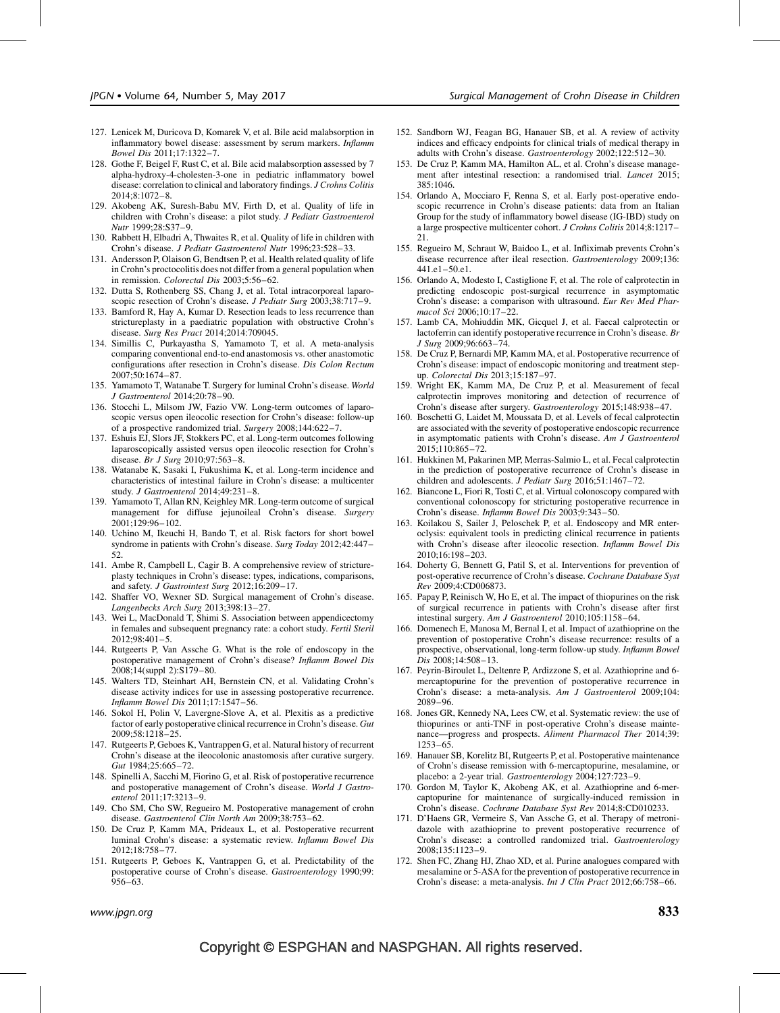- <span id="page-15-0"></span>127. Lenicek M, Duricova D, Komarek V, et al. Bile acid malabsorption in inflammatory bowel disease: assessment by serum markers. Inflamm Bowel Dis 2011;17:1322–7.
- 128. Gothe F, Beigel F, Rust C, et al. Bile acid malabsorption assessed by 7 alpha-hydroxy-4-cholesten-3-one in pediatric inflammatory bowel disease: correlation to clinical and laboratory findings. J Crohns Colitis  $2014:8:1072-8$ .
- 129. Akobeng AK, Suresh-Babu MV, Firth D, et al. Quality of life in children with Crohn's disease: a pilot study. J Pediatr Gastroenterol Nutr 1999;28:S37–9.
- 130. Rabbett H, Elbadri A, Thwaites R, et al. Quality of life in children with Crohn's disease. J Pediatr Gastroenterol Nutr 1996;23:528–33.
- 131. Andersson P, Olaison G, Bendtsen P, et al. Health related quality of life in Crohn's proctocolitis does not differ from a general population when in remission. Colorectal Dis 2003;5:56–62.
- 132. Dutta S, Rothenberg SS, Chang J, et al. Total intracorporeal laparoscopic resection of Crohn's disease. *J Pediatr Surg* 2003;38:717-9.
- 133. Bamford R, Hay A, Kumar D. Resection leads to less recurrence than strictureplasty in a paediatric population with obstructive Crohn's disease. Surg Res Pract 2014;2014:709045.
- 134. Simillis C, Purkayastha S, Yamamoto T, et al. A meta-analysis comparing conventional end-to-end anastomosis vs. other anastomotic configurations after resection in Crohn's disease. Dis Colon Rectum 2007;50:1674–87.
- 135. Yamamoto T, Watanabe T. Surgery for luminal Crohn's disease. World J Gastroenterol 2014;20:78–90.
- 136. Stocchi L, Milsom JW, Fazio VW. Long-term outcomes of laparoscopic versus open ileocolic resection for Crohn's disease: follow-up of a prospective randomized trial. Surgery 2008;144:622–7.
- 137. Eshuis EJ, Slors JF, Stokkers PC, et al. Long-term outcomes following laparoscopically assisted versus open ileocolic resection for Crohn's disease. Br J Surg 2010;97:563–8.
- 138. Watanabe K, Sasaki I, Fukushima K, et al. Long-term incidence and characteristics of intestinal failure in Crohn's disease: a multicenter study. J Gastroenterol 2014;49:231–8.
- 139. Yamamoto T, Allan RN, Keighley MR. Long-term outcome of surgical management for diffuse jejunoileal Crohn's disease. Surgery 2001;129:96–102.
- 140. Uchino M, Ikeuchi H, Bando T, et al. Risk factors for short bowel syndrome in patients with Crohn's disease. Surg Today 2012;42:447– 52.
- 141. Ambe R, Campbell L, Cagir B. A comprehensive review of strictureplasty techniques in Crohn's disease: types, indications, comparisons, and safety. J Gastrointest Surg 2012;16:209-17.
- 142. Shaffer VO, Wexner SD. Surgical management of Crohn's disease. Langenbecks Arch Surg 2013;398:13–27.
- 143. Wei L, MacDonald T, Shimi S. Association between appendicectomy in females and subsequent pregnancy rate: a cohort study. Fertil Steril 2012;98:401–5.
- 144. Rutgeerts P, Van Assche G. What is the role of endoscopy in the postoperative management of Crohn's disease? Inflamm Bowel Dis 2008;14(suppl 2):S179–80.
- 145. Walters TD, Steinhart AH, Bernstein CN, et al. Validating Crohn's disease activity indices for use in assessing postoperative recurrence. Inflamm Bowel Dis 2011;17:1547–56.
- 146. Sokol H, Polin V, Lavergne-Slove A, et al. Plexitis as a predictive factor of early postoperative clinical recurrence in Crohn's disease. Gut 2009;58:1218–25.
- 147. Rutgeerts P, Geboes K, Vantrappen G, et al. Natural history of recurrent Crohn's disease at the ileocolonic anastomosis after curative surgery. Gut 1984;25:665-72.
- 148. Spinelli A, Sacchi M, Fiorino G, et al. Risk of postoperative recurrence and postoperative management of Crohn's disease. World J Gastroenterol 2011;17:3213–9.
- 149. Cho SM, Cho SW, Regueiro M. Postoperative management of crohn disease. Gastroenterol Clin North Am 2009;38:753–62.
- 150. De Cruz P, Kamm MA, Prideaux L, et al. Postoperative recurrent luminal Crohn's disease: a systematic review. Inflamm Bowel Dis 2012;18:758–77.
- 151. Rutgeerts P, Geboes K, Vantrappen G, et al. Predictability of the postoperative course of Crohn's disease. Gastroenterology 1990;99: 956–63.
- 152. Sandborn WJ, Feagan BG, Hanauer SB, et al. A review of activity indices and efficacy endpoints for clinical trials of medical therapy in adults with Crohn's disease. Gastroenterology 2002;122:512–30.
- 153. De Cruz P, Kamm MA, Hamilton AL, et al. Crohn's disease management after intestinal resection: a randomised trial. Lancet 2015; 385:1046.
- 154. Orlando A, Mocciaro F, Renna S, et al. Early post-operative endoscopic recurrence in Crohn's disease patients: data from an Italian Group for the study of inflammatory bowel disease (IG-IBD) study on a large prospective multicenter cohort. J Crohns Colitis 2014;8:1217– 21.
- 155. Regueiro M, Schraut W, Baidoo L, et al. Infliximab prevents Crohn's disease recurrence after ileal resection. Gastroenterology 2009;136: 441.e1–50.e1.
- 156. Orlando A, Modesto I, Castiglione F, et al. The role of calprotectin in predicting endoscopic post-surgical recurrence in asymptomatic Crohn's disease: a comparison with ultrasound. Eur Rev Med Pharmacol Sci 2006;10:17–22.
- 157. Lamb CA, Mohiuddin MK, Gicquel J, et al. Faecal calprotectin or lactoferrin can identify postoperative recurrence in Crohn's disease. Br J Surg 2009;96:663–74.
- 158. De Cruz P, Bernardi MP, Kamm MA, et al. Postoperative recurrence of Crohn's disease: impact of endoscopic monitoring and treatment stepup. Colorectal Dis 2013;15:187–97.
- 159. Wright EK, Kamm MA, De Cruz P, et al. Measurement of fecal calprotectin improves monitoring and detection of recurrence of Crohn's disease after surgery. Gastroenterology 2015;148:938–47.
- 160. Boschetti G, Laidet M, Moussata D, et al. Levels of fecal calprotectin are associated with the severity of postoperative endoscopic recurrence in asymptomatic patients with Crohn's disease. Am J Gastroenterol 2015;110:865–72.
- 161. Hukkinen M, Pakarinen MP, Merras-Salmio L, et al. Fecal calprotectin in the prediction of postoperative recurrence of Crohn's disease in children and adolescents. J Pediatr Surg 2016;51:1467-72.
- 162. Biancone L, Fiori R, Tosti C, et al. Virtual colonoscopy compared with conventional colonoscopy for stricturing postoperative recurrence in Crohn's disease. Inflamm Bowel Dis 2003;9:343–50.
- 163. Koilakou S, Sailer J, Peloschek P, et al. Endoscopy and MR enteroclysis: equivalent tools in predicting clinical recurrence in patients with Crohn's disease after ileocolic resection. Inflamm Bowel Dis 2010;16:198–203.
- 164. Doherty G, Bennett G, Patil S, et al. Interventions for prevention of post-operative recurrence of Crohn's disease. Cochrane Database Syst Rev 2009;4:CD006873.
- 165. Papay P, Reinisch W, Ho E, et al. The impact of thiopurines on the risk of surgical recurrence in patients with Crohn's disease after first intestinal surgery. Am J Gastroenterol 2010;105:1158–64.
- 166. Domenech E, Manosa M, Bernal I, et al. Impact of azathioprine on the prevention of postoperative Crohn's disease recurrence: results of a prospective, observational, long-term follow-up study. Inflamm Bowel Dis 2008;14:508–13.
- 167. Peyrin-Biroulet L, Deltenre P, Ardizzone S, et al. Azathioprine and 6 mercaptopurine for the prevention of postoperative recurrence in Crohn's disease: a meta-analysis. Am J Gastroenterol 2009;104: 2089–96.
- 168. Jones GR, Kennedy NA, Lees CW, et al. Systematic review: the use of thiopurines or anti-TNF in post-operative Crohn's disease maintenance—progress and prospects. Aliment Pharmacol Ther 2014;39: 1253–65.
- 169. Hanauer SB, Korelitz BI, Rutgeerts P, et al. Postoperative maintenance of Crohn's disease remission with 6-mercaptopurine, mesalamine, or placebo: a 2-year trial. Gastroenterology 2004;127:723–9.
- 170. Gordon M, Taylor K, Akobeng AK, et al. Azathioprine and 6-mercaptopurine for maintenance of surgically-induced remission in Crohn's disease. Cochrane Database Syst Rev 2014;8:CD010233.
- 171. D'Haens GR, Vermeire S, Van Assche G, et al. Therapy of metronidazole with azathioprine to prevent postoperative recurrence of Crohn's disease: a controlled randomized trial. Gastroenterology 2008;135:1123–9.
- 172. Shen FC, Zhang HJ, Zhao XD, et al. Purine analogues compared with mesalamine or 5-ASA for the prevention of postoperative recurrence in Crohn's disease: a meta-analysis. Int J Clin Pract 2012;66:758–66.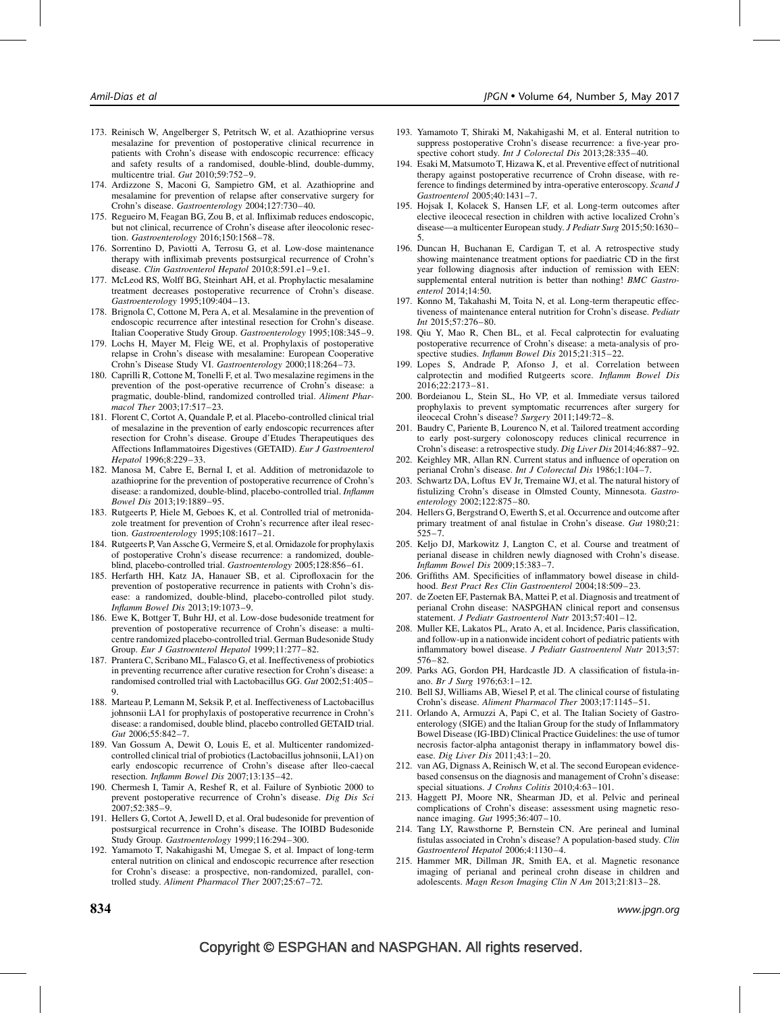- <span id="page-16-0"></span>173. Reinisch W, Angelberger S, Petritsch W, et al. Azathioprine versus mesalazine for prevention of postoperative clinical recurrence in patients with Crohn's disease with endoscopic recurrence: efficacy and safety results of a randomised, double-blind, double-dummy, multicentre trial. Gut 2010;59:752–9.
- 174. Ardizzone S, Maconi G, Sampietro GM, et al. Azathioprine and mesalamine for prevention of relapse after conservative surgery for Crohn's disease. Gastroenterology 2004;127:730–40.
- 175. Regueiro M, Feagan BG, Zou B, et al. Infliximab reduces endoscopic, but not clinical, recurrence of Crohn's disease after ileocolonic resection. Gastroenterology 2016;150:1568–78.
- 176. Sorrentino D, Paviotti A, Terrosu G, et al. Low-dose maintenance therapy with infliximab prevents postsurgical recurrence of Crohn's disease. Clin Gastroenterol Hepatol 2010;8:591.e1-9.e1.
- 177. McLeod RS, Wolff BG, Steinhart AH, et al. Prophylactic mesalamine treatment decreases postoperative recurrence of Crohn's disease. Gastroenterology 1995;109:404–13.
- 178. Brignola C, Cottone M, Pera A, et al. Mesalamine in the prevention of endoscopic recurrence after intestinal resection for Crohn's disease. Italian Cooperative Study Group. Gastroenterology 1995;108:345–9.
- 179. Lochs H, Mayer M, Fleig WE, et al. Prophylaxis of postoperative relapse in Crohn's disease with mesalamine: European Cooperative Crohn's Disease Study VI. Gastroenterology 2000;118:264–73.
- 180. Caprilli R, Cottone M, Tonelli F, et al. Two mesalazine regimens in the prevention of the post-operative recurrence of Crohn's disease: a pragmatic, double-blind, randomized controlled trial. Aliment Pharmacol Ther 2003;17:517–23.
- 181. Florent C, Cortot A, Quandale P, et al. Placebo-controlled clinical trial of mesalazine in the prevention of early endoscopic recurrences after resection for Crohn's disease. Groupe d'Etudes Therapeutiques des Affections Inflammatoires Digestives (GETAID). Eur J Gastroenterol Hepatol 1996;8:229–33.
- 182. Manosa M, Cabre E, Bernal I, et al. Addition of metronidazole to azathioprine for the prevention of postoperative recurrence of Crohn's disease: a randomized, double-blind, placebo-controlled trial. Inflamm Bowel Dis 2013;19:1889–95.
- 183. Rutgeerts P, Hiele M, Geboes K, et al. Controlled trial of metronidazole treatment for prevention of Crohn's recurrence after ileal resection. Gastroenterology 1995;108:1617–21.
- 184. Rutgeerts P, Van Assche G, Vermeire S, et al. Ornidazole for prophylaxis of postoperative Crohn's disease recurrence: a randomized, doubleblind, placebo-controlled trial. Gastroenterology 2005;128:856–61.
- 185. Herfarth HH, Katz JA, Hanauer SB, et al. Ciprofloxacin for the prevention of postoperative recurrence in patients with Crohn's disease: a randomized, double-blind, placebo-controlled pilot study. Inflamm Bowel Dis 2013;19:1073–9.
- 186. Ewe K, Bottger T, Buhr HJ, et al. Low-dose budesonide treatment for prevention of postoperative recurrence of Crohn's disease: a multicentre randomized placebo-controlled trial. German Budesonide Study Group. Eur J Gastroenterol Hepatol 1999;11:277–82.
- 187. Prantera C, Scribano ML, Falasco G, et al. Ineffectiveness of probiotics in preventing recurrence after curative resection for Crohn's disease: a randomised controlled trial with Lactobacillus GG. Gut 2002;51:405–  $^{\circ}$
- 188. Marteau P, Lemann M, Seksik P, et al. Ineffectiveness of Lactobacillus johnsonii LA1 for prophylaxis of postoperative recurrence in Crohn's disease: a randomised, double blind, placebo controlled GETAID trial. Gut 2006;55:842–7.
- 189. Van Gossum A, Dewit O, Louis E, et al. Multicenter randomizedcontrolled clinical trial of probiotics (Lactobacillus johnsonii, LA1) on early endoscopic recurrence of Crohn's disease after lleo-caecal resection. Inflamm Bowel Dis 2007;13:135–42.
- 190. Chermesh I, Tamir A, Reshef R, et al. Failure of Synbiotic 2000 to prevent postoperative recurrence of Crohn's disease. Dig Dis Sci 2007;52:385–9.
- 191. Hellers G, Cortot A, Jewell D, et al. Oral budesonide for prevention of postsurgical recurrence in Crohn's disease. The IOIBD Budesonide Study Group. Gastroenterology 1999;116:294–300.
- 192. Yamamoto T, Nakahigashi M, Umegae S, et al. Impact of long-term enteral nutrition on clinical and endoscopic recurrence after resection for Crohn's disease: a prospective, non-randomized, parallel, controlled study. Aliment Pharmacol Ther 2007;25:67–72.
- 193. Yamamoto T, Shiraki M, Nakahigashi M, et al. Enteral nutrition to suppress postoperative Crohn's disease recurrence: a five-year prospective cohort study. Int J Colorectal Dis 2013;28:335-40.
- 194. Esaki M, Matsumoto T, Hizawa K, et al. Preventive effect of nutritional therapy against postoperative recurrence of Crohn disease, with reference to findings determined by intra-operative enteroscopy. Scand J Gastroenterol 2005;40:1431–7.
- 195. Hojsak I, Kolacek S, Hansen LF, et al. Long-term outcomes after elective ileocecal resection in children with active localized Crohn's disease—a multicenter European study. J Pediatr Surg 2015;50:1630– 5.
- 196. Duncan H, Buchanan E, Cardigan T, et al. A retrospective study showing maintenance treatment options for paediatric CD in the first year following diagnosis after induction of remission with EEN: supplemental enteral nutrition is better than nothing! BMC Gastroenterol 2014;14:50.
- 197. Konno M, Takahashi M, Toita N, et al. Long-term therapeutic effectiveness of maintenance enteral nutrition for Crohn's disease. Pediatr Int 2015;57:276–80.
- 198. Qiu Y, Mao R, Chen BL, et al. Fecal calprotectin for evaluating postoperative recurrence of Crohn's disease: a meta-analysis of prospective studies. Inflamm Bowel Dis 2015;21:315–22.
- 199. Lopes S, Andrade P, Afonso J, et al. Correlation between calprotectin and modified Rutgeerts score. Inflamm Bowel Dis 2016;22:2173–81.
- 200. Bordeianou L, Stein SL, Ho VP, et al. Immediate versus tailored prophylaxis to prevent symptomatic recurrences after surgery for ileocecal Crohn's disease? Surgery 2011;149:72–8.
- 201. Baudry C, Pariente B, Lourenco N, et al. Tailored treatment according to early post-surgery colonoscopy reduces clinical recurrence in Crohn's disease: a retrospective study. Dig Liver Dis 2014;46:887–92.
- 202. Keighley MR, Allan RN. Current status and influence of operation on perianal Crohn's disease. Int J Colorectal Dis 1986;1:104–7.
- 203. Schwartz DA, Loftus EV Jr, Tremaine WJ, et al. The natural history of fistulizing Crohn's disease in Olmsted County, Minnesota. Gastroenterology 2002;122:875–80.
- 204. Hellers G, Bergstrand O, Ewerth S, et al. Occurrence and outcome after primary treatment of anal fistulae in Crohn's disease. Gut 1980;21: 525–7.
- 205. Keljo DJ, Markowitz J, Langton C, et al. Course and treatment of perianal disease in children newly diagnosed with Crohn's disease. Inflamm Bowel Dis 2009;15:383–7.
- 206. Griffiths AM. Specificities of inflammatory bowel disease in childhood. Best Pract Res Clin Gastroenterol 2004;18:509–23.
- 207. de Zoeten EF, Pasternak BA, Mattei P, et al. Diagnosis and treatment of perianal Crohn disease: NASPGHAN clinical report and consensus statement. J Pediatr Gastroenterol Nutr 2013;57:401–12.
- 208. Muller KE, Lakatos PL, Arato A, et al. Incidence, Paris classification, and follow-up in a nationwide incident cohort of pediatric patients with inflammatory bowel disease. J Pediatr Gastroenterol Nutr 2013;57: 576–82.
- 209. Parks AG, Gordon PH, Hardcastle JD. A classification of fistula-inano. Br J Surg 1976;63:1–12.
- 210. Bell SJ, Williams AB, Wiesel P, et al. The clinical course of fistulating Crohn's disease. Aliment Pharmacol Ther 2003;17:1145–51.
- 211. Orlando A, Armuzzi A, Papi C, et al. The Italian Society of Gastroenterology (SIGE) and the Italian Group for the study of Inflammatory Bowel Disease (IG-IBD) Clinical Practice Guidelines: the use of tumor necrosis factor-alpha antagonist therapy in inflammatory bowel disease. Dig Liver Dis 2011;43:1–20.
- 212. van AG, Dignass A, Reinisch W, et al. The second European evidencebased consensus on the diagnosis and management of Crohn's disease: special situations. J Crohns Colitis 2010;4:63-101.
- 213. Haggett PJ, Moore NR, Shearman JD, et al. Pelvic and perineal complications of Crohn's disease: assessment using magnetic resonance imaging. Gut 1995;36:407–10.
- 214. Tang LY, Rawsthorne P, Bernstein CN. Are perineal and luminal fistulas associated in Crohn's disease? A population-based study. Clin Gastroenterol Hepatol 2006;4:1130–4.
- 215. Hammer MR, Dillman JR, Smith EA, et al. Magnetic resonance imaging of perianal and perineal crohn disease in children and adolescents. Magn Reson Imaging Clin N Am 2013;21:813–28.